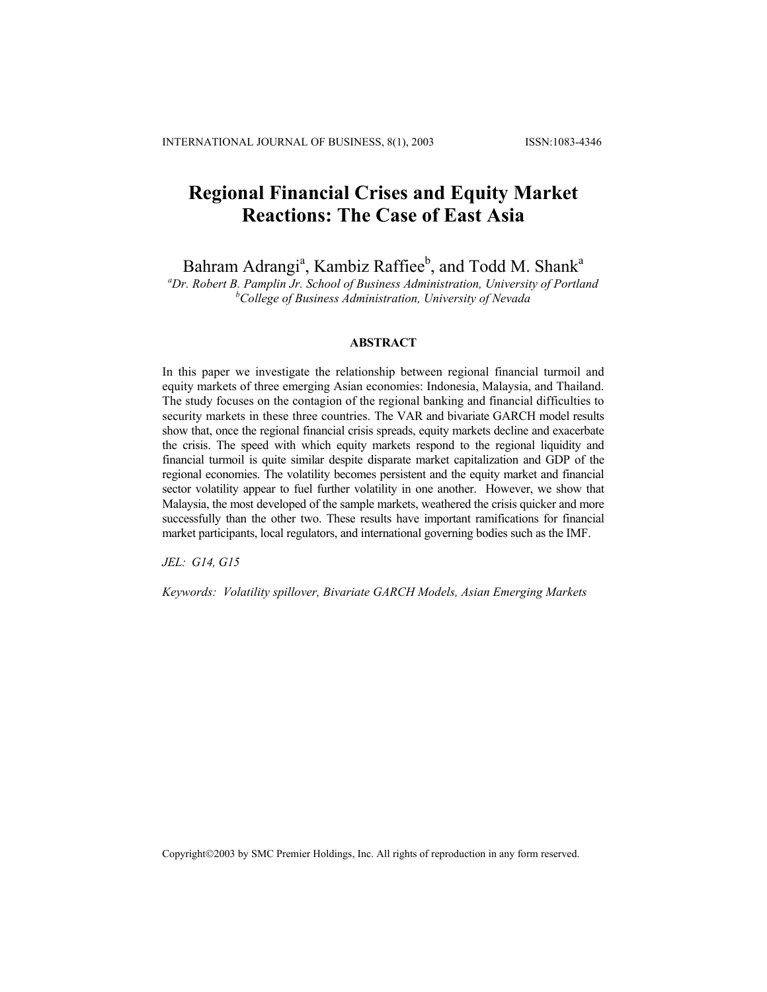# **Regional Financial Crises and Equity Market Reactions: The Case of East Asia**

Bahram Adrangi<sup>a</sup>, Kambiz Raffiee<sup>b</sup>, and Todd M. Shank<sup>a</sup>

*a Dr. Robert B. Pamplin Jr. School of Business Administration, University of Portland b College of Business Administration, University of Nevada*

## **ABSTRACT**

In this paper we investigate the relationship between regional financial turmoil and equity markets of three emerging Asian economies: Indonesia, Malaysia, and Thailand. The study focuses on the contagion of the regional banking and financial difficulties to security markets in these three countries. The VAR and bivariate GARCH model results show that, once the regional financial crisis spreads, equity markets decline and exacerbate the crisis. The speed with which equity markets respond to the regional liquidity and financial turmoil is quite similar despite disparate market capitalization and GDP of the regional economies. The volatility becomes persistent and the equity market and financial sector volatility appear to fuel further volatility in one another. However, we show that Malaysia, the most developed of the sample markets, weathered the crisis quicker and more successfully than the other two. These results have important ramifications for financial market participants, local regulators, and international governing bodies such as the IMF.

*JEL: G14, G15* 

*Keywords: Volatility spillover, Bivariate GARCH Models, Asian Emerging Markets* 

Copyright©2003 by SMC Premier Holdings, Inc. All rights of reproduction in any form reserved.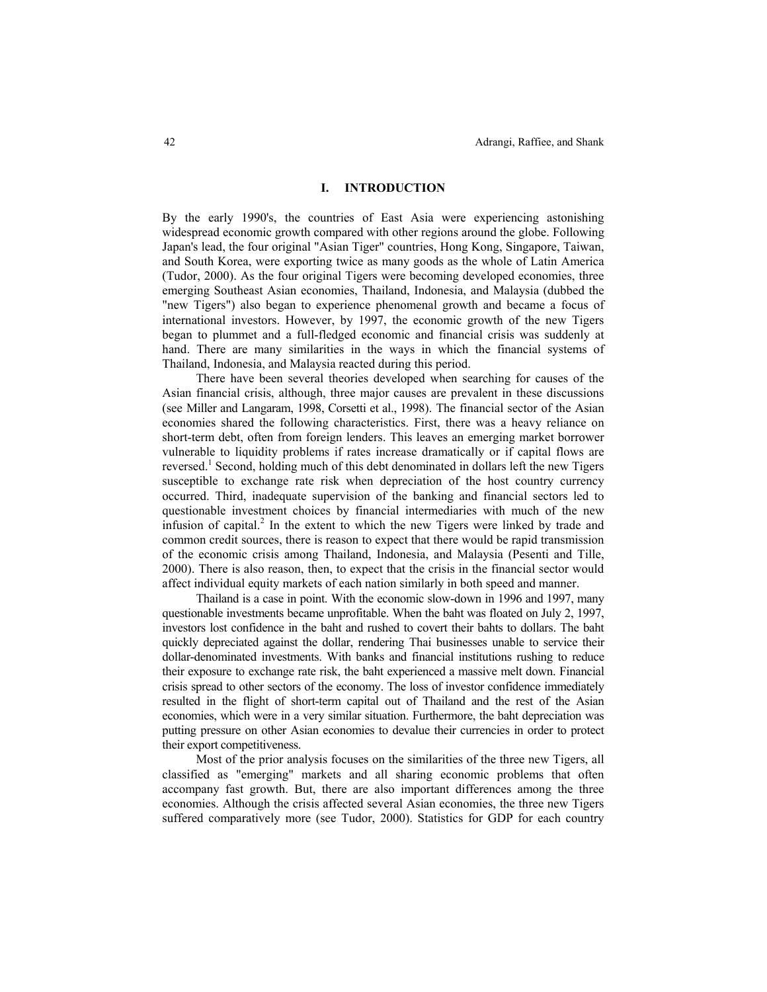#### **I. INTRODUCTION**

By the early 1990's, the countries of East Asia were experiencing astonishing widespread economic growth compared with other regions around the globe. Following Japan's lead, the four original "Asian Tiger" countries, Hong Kong, Singapore, Taiwan, and South Korea, were exporting twice as many goods as the whole of Latin America (Tudor, 2000). As the four original Tigers were becoming developed economies, three emerging Southeast Asian economies, Thailand, Indonesia, and Malaysia (dubbed the "new Tigers") also began to experience phenomenal growth and became a focus of international investors. However, by 1997, the economic growth of the new Tigers began to plummet and a full-fledged economic and financial crisis was suddenly at hand. There are many similarities in the ways in which the financial systems of Thailand, Indonesia, and Malaysia reacted during this period.

There have been several theories developed when searching for causes of the Asian financial crisis, although, three major causes are prevalent in these discussions (see Miller and Langaram, 1998, Corsetti et al., 1998). The financial sector of the Asian economies shared the following characteristics. First, there was a heavy reliance on short-term debt, often from foreign lenders. This leaves an emerging market borrower vulnerable to liquidity problems if rates increase dramatically or if capital flows are reversed.<sup>1</sup> Second, holding much of this debt denominated in dollars left the new Tigers susceptible to exchange rate risk when depreciation of the host country currency occurred. Third, inadequate supervision of the banking and financial sectors led to questionable investment choices by financial intermediaries with much of the new infusion of capital.<sup>2</sup> In the extent to which the new Tigers were linked by trade and common credit sources, there is reason to expect that there would be rapid transmission of the economic crisis among Thailand, Indonesia, and Malaysia (Pesenti and Tille, 2000). There is also reason, then, to expect that the crisis in the financial sector would affect individual equity markets of each nation similarly in both speed and manner.

Thailand is a case in point. With the economic slow-down in 1996 and 1997, many questionable investments became unprofitable. When the baht was floated on July 2, 1997, investors lost confidence in the baht and rushed to covert their bahts to dollars. The baht quickly depreciated against the dollar, rendering Thai businesses unable to service their dollar-denominated investments. With banks and financial institutions rushing to reduce their exposure to exchange rate risk, the baht experienced a massive melt down. Financial crisis spread to other sectors of the economy. The loss of investor confidence immediately resulted in the flight of short-term capital out of Thailand and the rest of the Asian economies, which were in a very similar situation. Furthermore, the baht depreciation was putting pressure on other Asian economies to devalue their currencies in order to protect their export competitiveness.

Most of the prior analysis focuses on the similarities of the three new Tigers, all classified as "emerging" markets and all sharing economic problems that often accompany fast growth. But, there are also important differences among the three economies. Although the crisis affected several Asian economies, the three new Tigers suffered comparatively more (see Tudor, 2000). Statistics for GDP for each country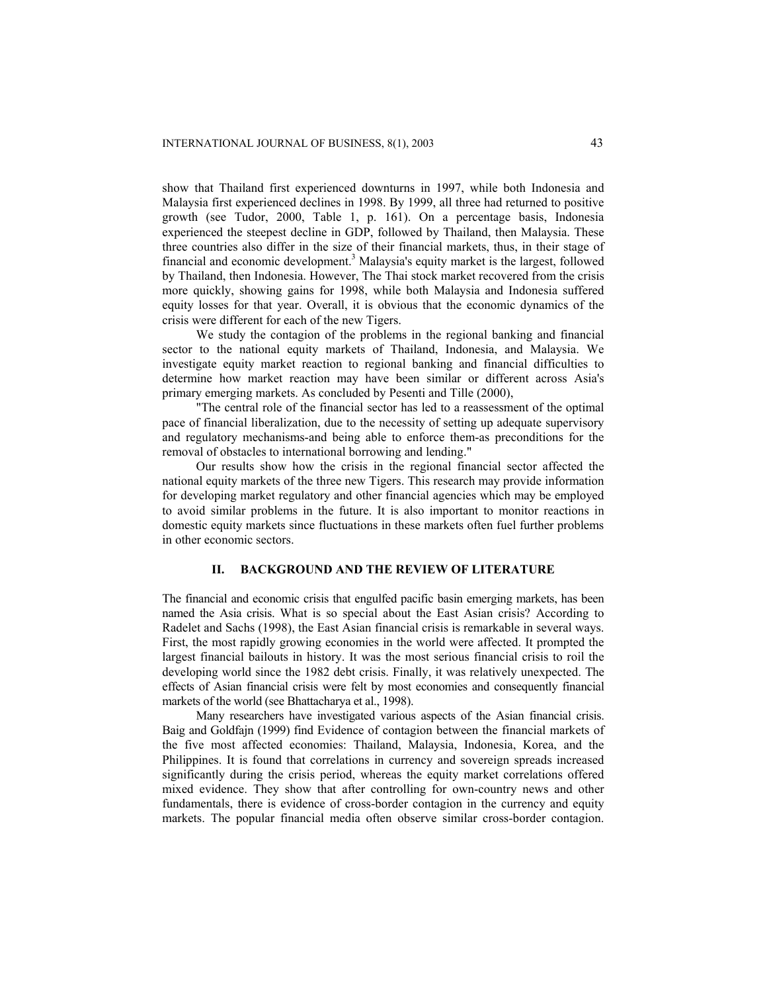show that Thailand first experienced downturns in 1997, while both Indonesia and Malaysia first experienced declines in 1998. By 1999, all three had returned to positive growth (see Tudor, 2000, Table 1, p. 161). On a percentage basis, Indonesia experienced the steepest decline in GDP, followed by Thailand, then Malaysia. These three countries also differ in the size of their financial markets, thus, in their stage of financial and economic development.<sup>3</sup> Malaysia's equity market is the largest, followed by Thailand, then Indonesia. However, The Thai stock market recovered from the crisis more quickly, showing gains for 1998, while both Malaysia and Indonesia suffered equity losses for that year. Overall, it is obvious that the economic dynamics of the crisis were different for each of the new Tigers.

We study the contagion of the problems in the regional banking and financial sector to the national equity markets of Thailand, Indonesia, and Malaysia. We investigate equity market reaction to regional banking and financial difficulties to determine how market reaction may have been similar or different across Asia's primary emerging markets. As concluded by Pesenti and Tille (2000),

"The central role of the financial sector has led to a reassessment of the optimal pace of financial liberalization, due to the necessity of setting up adequate supervisory and regulatory mechanisms-and being able to enforce them-as preconditions for the removal of obstacles to international borrowing and lending."

Our results show how the crisis in the regional financial sector affected the national equity markets of the three new Tigers. This research may provide information for developing market regulatory and other financial agencies which may be employed to avoid similar problems in the future. It is also important to monitor reactions in domestic equity markets since fluctuations in these markets often fuel further problems in other economic sectors.

#### **II. BACKGROUND AND THE REVIEW OF LITERATURE**

The financial and economic crisis that engulfed pacific basin emerging markets, has been named the Asia crisis. What is so special about the East Asian crisis? According to Radelet and Sachs (1998), the East Asian financial crisis is remarkable in several ways. First, the most rapidly growing economies in the world were affected. It prompted the largest financial bailouts in history. It was the most serious financial crisis to roil the developing world since the 1982 debt crisis. Finally, it was relatively unexpected. The effects of Asian financial crisis were felt by most economies and consequently financial markets of the world (see Bhattacharya et al., 1998).

Many researchers have investigated various aspects of the Asian financial crisis. Baig and Goldfajn (1999) find Evidence of contagion between the financial markets of the five most affected economies: Thailand, Malaysia, Indonesia, Korea, and the Philippines. It is found that correlations in currency and sovereign spreads increased significantly during the crisis period, whereas the equity market correlations offered mixed evidence. They show that after controlling for own-country news and other fundamentals, there is evidence of cross-border contagion in the currency and equity markets. The popular financial media often observe similar cross-border contagion.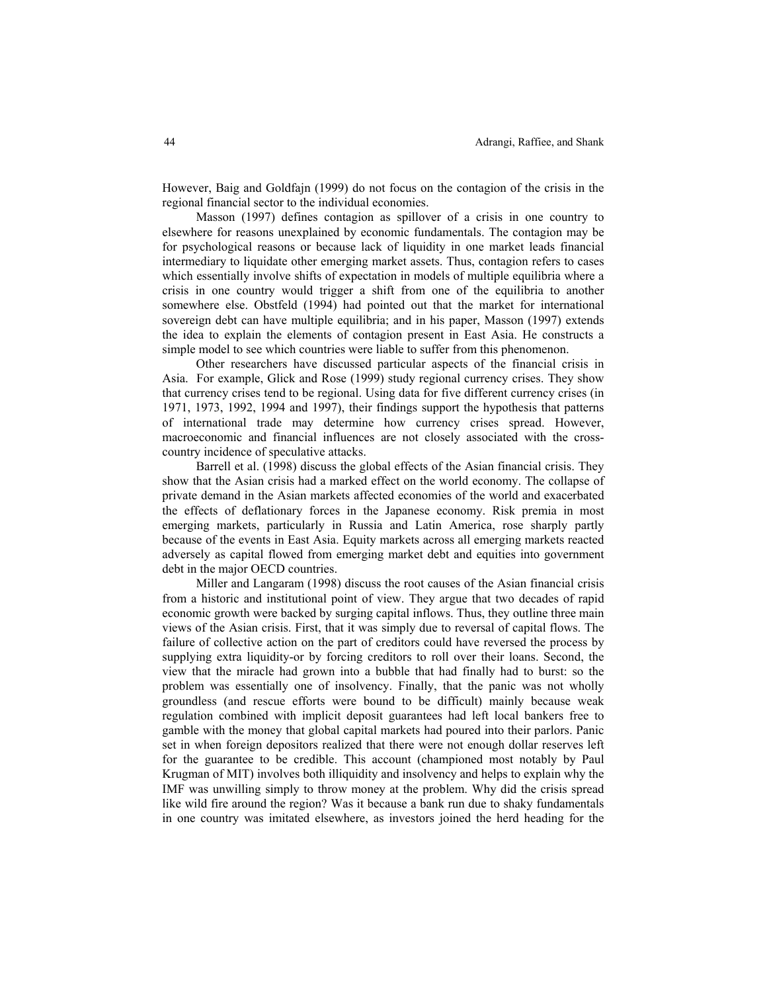However, Baig and Goldfajn (1999) do not focus on the contagion of the crisis in the regional financial sector to the individual economies.

Masson (1997) defines contagion as spillover of a crisis in one country to elsewhere for reasons unexplained by economic fundamentals. The contagion may be for psychological reasons or because lack of liquidity in one market leads financial intermediary to liquidate other emerging market assets. Thus, contagion refers to cases which essentially involve shifts of expectation in models of multiple equilibria where a crisis in one country would trigger a shift from one of the equilibria to another somewhere else. Obstfeld (1994) had pointed out that the market for international sovereign debt can have multiple equilibria; and in his paper, Masson (1997) extends the idea to explain the elements of contagion present in East Asia. He constructs a simple model to see which countries were liable to suffer from this phenomenon.

Other researchers have discussed particular aspects of the financial crisis in Asia. For example, Glick and Rose (1999) study regional currency crises. They show that currency crises tend to be regional. Using data for five different currency crises (in 1971, 1973, 1992, 1994 and 1997), their findings support the hypothesis that patterns of international trade may determine how currency crises spread. However, macroeconomic and financial influences are not closely associated with the crosscountry incidence of speculative attacks.

Barrell et al. (1998) discuss the global effects of the Asian financial crisis. They show that the Asian crisis had a marked effect on the world economy. The collapse of private demand in the Asian markets affected economies of the world and exacerbated the effects of deflationary forces in the Japanese economy. Risk premia in most emerging markets, particularly in Russia and Latin America, rose sharply partly because of the events in East Asia. Equity markets across all emerging markets reacted adversely as capital flowed from emerging market debt and equities into government debt in the major OECD countries.

Miller and Langaram (1998) discuss the root causes of the Asian financial crisis from a historic and institutional point of view. They argue that two decades of rapid economic growth were backed by surging capital inflows. Thus, they outline three main views of the Asian crisis. First, that it was simply due to reversal of capital flows. The failure of collective action on the part of creditors could have reversed the process by supplying extra liquidity-or by forcing creditors to roll over their loans. Second, the view that the miracle had grown into a bubble that had finally had to burst: so the problem was essentially one of insolvency. Finally, that the panic was not wholly groundless (and rescue efforts were bound to be difficult) mainly because weak regulation combined with implicit deposit guarantees had left local bankers free to gamble with the money that global capital markets had poured into their parlors. Panic set in when foreign depositors realized that there were not enough dollar reserves left for the guarantee to be credible. This account (championed most notably by Paul Krugman of MIT) involves both illiquidity and insolvency and helps to explain why the IMF was unwilling simply to throw money at the problem. Why did the crisis spread like wild fire around the region? Was it because a bank run due to shaky fundamentals in one country was imitated elsewhere, as investors joined the herd heading for the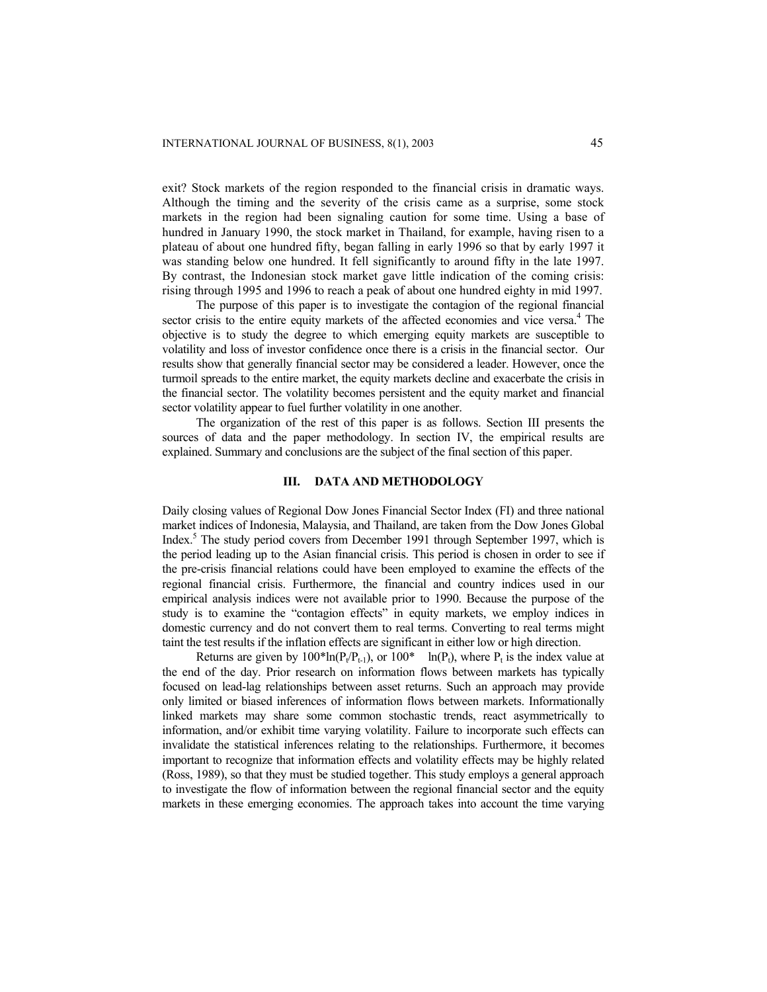exit? Stock markets of the region responded to the financial crisis in dramatic ways. Although the timing and the severity of the crisis came as a surprise, some stock markets in the region had been signaling caution for some time. Using a base of hundred in January 1990, the stock market in Thailand, for example, having risen to a plateau of about one hundred fifty, began falling in early 1996 so that by early 1997 it was standing below one hundred. It fell significantly to around fifty in the late 1997. By contrast, the Indonesian stock market gave little indication of the coming crisis: rising through 1995 and 1996 to reach a peak of about one hundred eighty in mid 1997.

The purpose of this paper is to investigate the contagion of the regional financial sector crisis to the entire equity markets of the affected economies and vice versa.<sup>4</sup> The objective is to study the degree to which emerging equity markets are susceptible to volatility and loss of investor confidence once there is a crisis in the financial sector. Our results show that generally financial sector may be considered a leader. However, once the turmoil spreads to the entire market, the equity markets decline and exacerbate the crisis in the financial sector. The volatility becomes persistent and the equity market and financial sector volatility appear to fuel further volatility in one another.

The organization of the rest of this paper is as follows. Section III presents the sources of data and the paper methodology. In section IV, the empirical results are explained. Summary and conclusions are the subject of the final section of this paper.

# **III. DATA AND METHODOLOGY**

Daily closing values of Regional Dow Jones Financial Sector Index (FI) and three national market indices of Indonesia, Malaysia, and Thailand, are taken from the Dow Jones Global Index.<sup>5</sup> The study period covers from December 1991 through September 1997, which is the period leading up to the Asian financial crisis. This period is chosen in order to see if the pre-crisis financial relations could have been employed to examine the effects of the regional financial crisis. Furthermore, the financial and country indices used in our empirical analysis indices were not available prior to 1990. Because the purpose of the study is to examine the "contagion effects" in equity markets, we employ indices in domestic currency and do not convert them to real terms. Converting to real terms might taint the test results if the inflation effects are significant in either low or high direction.

Returns are given by  $100^* \ln(P_t/P_{t-1})$ , or  $100^* \ln(P_t)$ , where  $P_t$  is the index value at the end of the day. Prior research on information flows between markets has typically focused on lead-lag relationships between asset returns. Such an approach may provide only limited or biased inferences of information flows between markets. Informationally linked markets may share some common stochastic trends, react asymmetrically to information, and/or exhibit time varying volatility. Failure to incorporate such effects can invalidate the statistical inferences relating to the relationships. Furthermore, it becomes important to recognize that information effects and volatility effects may be highly related (Ross, 1989), so that they must be studied together. This study employs a general approach to investigate the flow of information between the regional financial sector and the equity markets in these emerging economies. The approach takes into account the time varying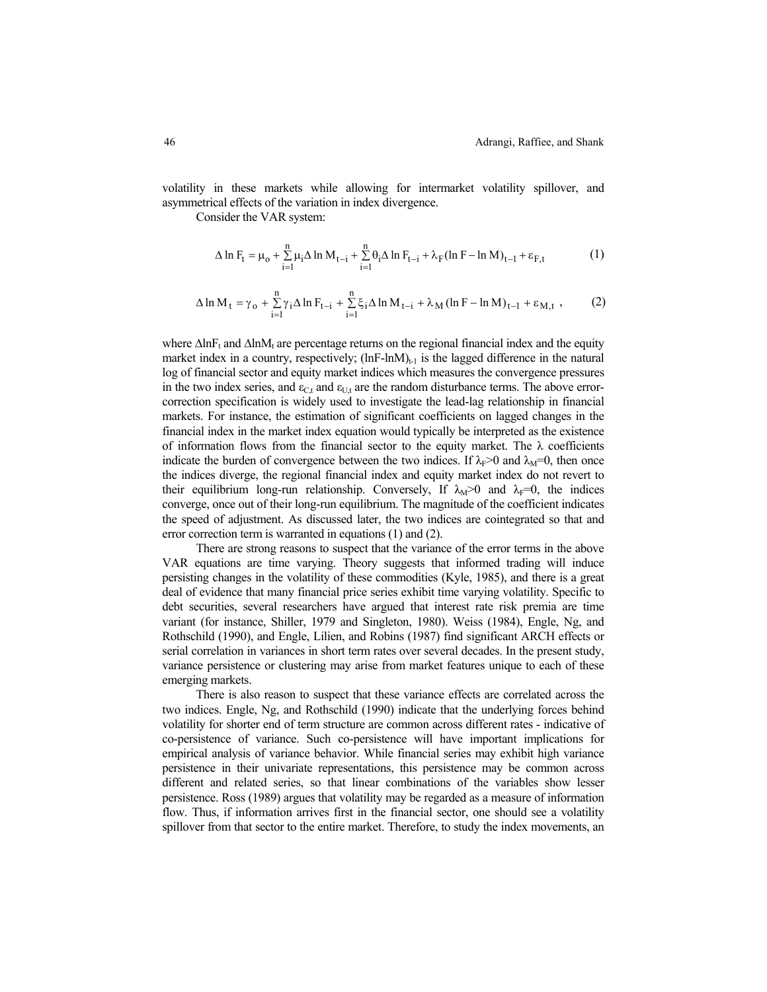volatility in these markets while allowing for intermarket volatility spillover, and asymmetrical effects of the variation in index divergence.

Consider the VAR system:

$$
\Delta \ln F_t = \mu_0 + \sum_{i=1}^n \mu_i \Delta \ln M_{t-i} + \sum_{i=1}^n \theta_i \Delta \ln F_{t-i} + \lambda_F (\ln F - \ln M)_{t-1} + \epsilon_{F,t} \tag{1}
$$

$$
\Delta \ln M_{t} = \gamma_{o} + \sum_{i=1}^{n} \gamma_{i} \Delta \ln F_{t-i} + \sum_{i=1}^{n} \xi_{i} \Delta \ln M_{t-i} + \lambda_{M} (\ln F - \ln M)_{t-1} + \varepsilon_{M,t} , \qquad (2)
$$

where  $\Delta \ln F_t$  and  $\Delta \ln M_t$  are percentage returns on the regional financial index and the equity market index in a country, respectively;  $(lnF-lnM)_{t-1}$  is the lagged difference in the natural log of financial sector and equity market indices which measures the convergence pressures in the two index series, and  $\varepsilon_{\text{C}t}$  and  $\varepsilon_{\text{U}t}$  are the random disturbance terms. The above errorcorrection specification is widely used to investigate the lead-lag relationship in financial markets. For instance, the estimation of significant coefficients on lagged changes in the financial index in the market index equation would typically be interpreted as the existence of information flows from the financial sector to the equity market. The  $\lambda$  coefficients indicate the burden of convergence between the two indices. If  $\lambda_F$ >0 and  $\lambda_M$ =0, then once the indices diverge, the regional financial index and equity market index do not revert to their equilibrium long-run relationship. Conversely, If  $\lambda_{M} > 0$  and  $\lambda_{F} = 0$ , the indices converge, once out of their long-run equilibrium. The magnitude of the coefficient indicates the speed of adjustment. As discussed later, the two indices are cointegrated so that and error correction term is warranted in equations (1) and (2).

There are strong reasons to suspect that the variance of the error terms in the above VAR equations are time varying. Theory suggests that informed trading will induce persisting changes in the volatility of these commodities (Kyle, 1985), and there is a great deal of evidence that many financial price series exhibit time varying volatility. Specific to debt securities, several researchers have argued that interest rate risk premia are time variant (for instance, Shiller, 1979 and Singleton, 1980). Weiss (1984), Engle, Ng, and Rothschild (1990), and Engle, Lilien, and Robins (1987) find significant ARCH effects or serial correlation in variances in short term rates over several decades. In the present study, variance persistence or clustering may arise from market features unique to each of these emerging markets.

There is also reason to suspect that these variance effects are correlated across the two indices. Engle, Ng, and Rothschild (1990) indicate that the underlying forces behind volatility for shorter end of term structure are common across different rates - indicative of co-persistence of variance. Such co-persistence will have important implications for empirical analysis of variance behavior. While financial series may exhibit high variance persistence in their univariate representations, this persistence may be common across different and related series, so that linear combinations of the variables show lesser persistence. Ross (1989) argues that volatility may be regarded as a measure of information flow. Thus, if information arrives first in the financial sector, one should see a volatility spillover from that sector to the entire market. Therefore, to study the index movements, an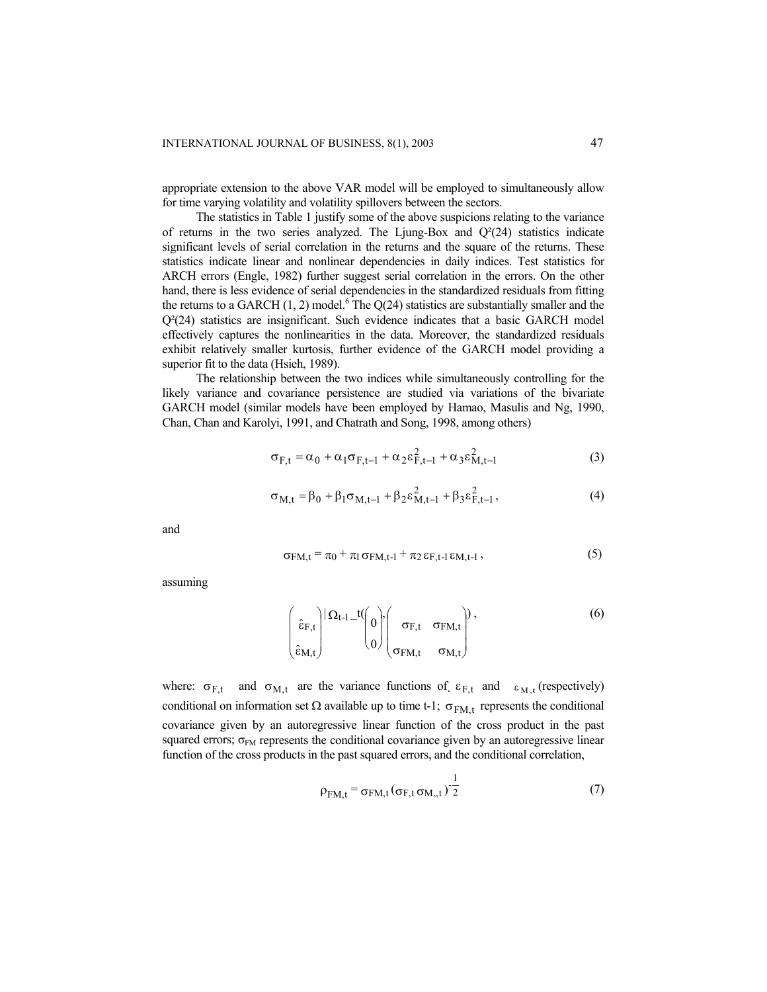appropriate extension to the above VAR model will be employed to simultaneously allow for time varying volatility and volatility spillovers between the sectors.

The statistics in Table 1 justify some of the above suspicions relating to the variance of returns in the two series analyzed. The Ljung-Box and  $Q^2(24)$  statistics indicate significant levels of serial correlation in the returns and the square of the returns. These statistics indicate linear and nonlinear dependencies in daily indices. Test statistics for ARCH errors (Engle, 1982) further suggest serial correlation in the errors. On the other hand, there is less evidence of serial dependencies in the standardized residuals from fitting the returns to a GARCH  $(1, 2)$  model.<sup>6</sup> The Q $(24)$  statistics are substantially smaller and the Q²(24) statistics are insignificant. Such evidence indicates that a basic GARCH model effectively captures the nonlinearities in the data. Moreover, the standardized residuals exhibit relatively smaller kurtosis, further evidence of the GARCH model providing a superior fit to the data (Hsieh, 1989).

The relationship between the two indices while simultaneously controlling for the likely variance and covariance persistence are studied via variations of the bivariate GARCH model (similar models have been employed by Hamao, Masulis and Ng, 1990, Chan, Chan and Karolyi, 1991, and Chatrath and Song, 1998, among others)

$$
\sigma_{F,t} = \alpha_0 + \alpha_1 \sigma_{F,t-1} + \alpha_2 \varepsilon_{F,t-1}^2 + \alpha_3 \varepsilon_{M,t-1}^2
$$
 (3)

$$
\sigma_{M,t} = \beta_0 + \beta_1 \sigma_{M,t-1} + \beta_2 \varepsilon_{M,t-1}^2 + \beta_3 \varepsilon_{F,t-1}^2, \tag{4}
$$

and

$$
\sigma_{FM,t} = \pi_0 + \pi_1 \sigma_{FM,t-1} + \pi_2 \epsilon_{F,t-1} \epsilon_{M,t-1},
$$
\n(5)

assuming

$$
\begin{pmatrix}\n\hat{\epsilon}_{F,t} \\
\hat{\epsilon}_{M,t}\n\end{pmatrix} | \Omega_{t-1} - t \begin{pmatrix}\n0 \\
0 \\
0\n\end{pmatrix} \begin{pmatrix}\n\sigma_{F,t} & \sigma_{FM,t} \\
\sigma_{FM,t} & \sigma_{M,t}\n\end{pmatrix},
$$
\n(6)

where:  $\sigma_{F,t}$  and  $\sigma_{M,t}$  are the variance functions of  $\varepsilon_{F,t}$  and  $\varepsilon_{M,t}$  (respectively) conditional on information set  $\Omega$  available up to time t-1;  $\sigma_{FM,t}$  represents the conditional covariance given by an autoregressive linear function of the cross product in the past squared errors;  $\sigma_{FM}$  represents the conditional covariance given by an autoregressive linear function of the cross products in the past squared errors, and the conditional correlation,

$$
\rho_{FM,t} = \sigma_{FM,t} (\sigma_{F,t} \sigma_{M,t})^{-\frac{1}{2}}
$$
\n(7)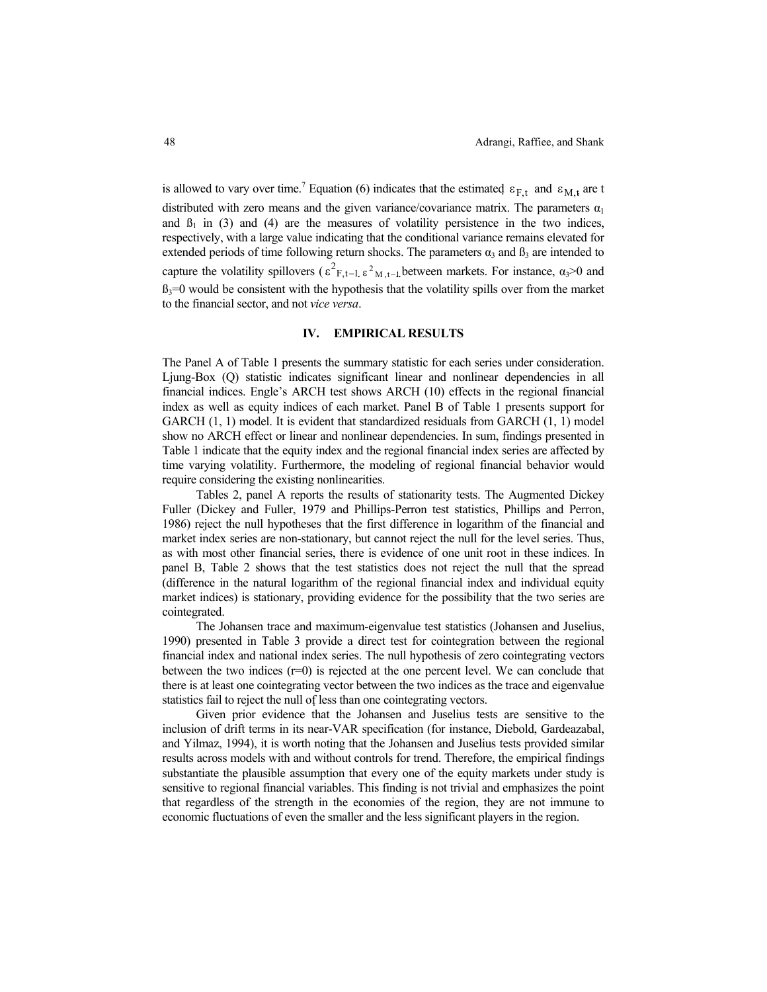is allowed to vary over time.<sup>7</sup> Equation (6) indicates that the estimated  $\varepsilon_{F,t}$  and  $\varepsilon_{M,t}$  are t distributed with zero means and the given variance/covariance matrix. The parameters  $\alpha_1$ and  $\beta_1$  in (3) and (4) are the measures of volatility persistence in the two indices, respectively, with a large value indicating that the conditional variance remains elevated for extended periods of time following return shocks. The parameters  $\alpha_3$  and  $\beta_3$  are intended to capture the volatility spillovers ( $\epsilon^2$ <sub>F,t-1</sub>  $\epsilon^2$ <sub>M,t-1</sub> between markets. For instance,  $\alpha_3$ >0 and  $B_3=0$  would be consistent with the hypothesis that the volatility spills over from the market to the financial sector, and not *vice versa*.

#### **IV. EMPIRICAL RESULTS**

The Panel A of Table 1 presents the summary statistic for each series under consideration. Ljung-Box (Q) statistic indicates significant linear and nonlinear dependencies in all financial indices. Engle's ARCH test shows ARCH (10) effects in the regional financial index as well as equity indices of each market. Panel B of Table 1 presents support for GARCH (1, 1) model. It is evident that standardized residuals from GARCH (1, 1) model show no ARCH effect or linear and nonlinear dependencies. In sum, findings presented in Table 1 indicate that the equity index and the regional financial index series are affected by time varying volatility. Furthermore, the modeling of regional financial behavior would require considering the existing nonlinearities.

Tables 2, panel A reports the results of stationarity tests. The Augmented Dickey Fuller (Dickey and Fuller, 1979 and Phillips-Perron test statistics, Phillips and Perron, 1986) reject the null hypotheses that the first difference in logarithm of the financial and market index series are non-stationary, but cannot reject the null for the level series. Thus, as with most other financial series, there is evidence of one unit root in these indices. In panel B, Table 2 shows that the test statistics does not reject the null that the spread (difference in the natural logarithm of the regional financial index and individual equity market indices) is stationary, providing evidence for the possibility that the two series are cointegrated.

The Johansen trace and maximum-eigenvalue test statistics (Johansen and Juselius, 1990) presented in Table 3 provide a direct test for cointegration between the regional financial index and national index series. The null hypothesis of zero cointegrating vectors between the two indices  $(r=0)$  is rejected at the one percent level. We can conclude that there is at least one cointegrating vector between the two indices as the trace and eigenvalue statistics fail to reject the null of less than one cointegrating vectors.

Given prior evidence that the Johansen and Juselius tests are sensitive to the inclusion of drift terms in its near-VAR specification (for instance, Diebold, Gardeazabal, and Yilmaz, 1994), it is worth noting that the Johansen and Juselius tests provided similar results across models with and without controls for trend. Therefore, the empirical findings substantiate the plausible assumption that every one of the equity markets under study is sensitive to regional financial variables. This finding is not trivial and emphasizes the point that regardless of the strength in the economies of the region, they are not immune to economic fluctuations of even the smaller and the less significant players in the region.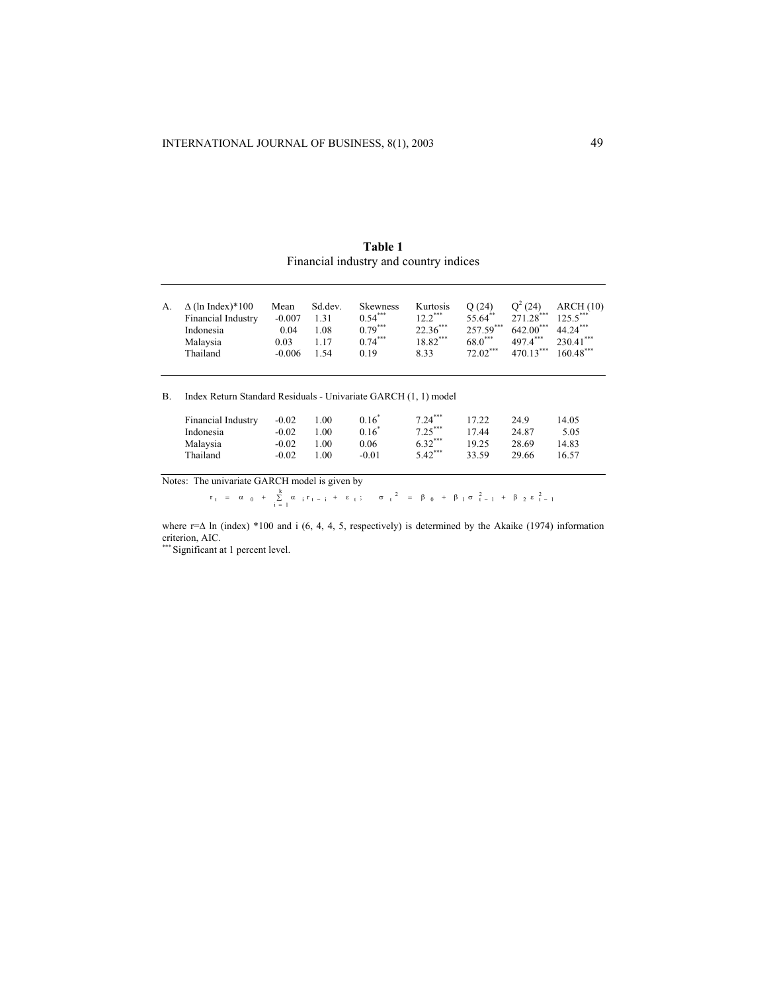| Table 1                                |  |  |  |  |
|----------------------------------------|--|--|--|--|
| Financial industry and country indices |  |  |  |  |

| А. | $\Delta$ (ln Index)*100 | Mean     | Sd.dev. | <b>Skewness</b> | Kurtosis   | O(24)       | $Q^2(24)$   | ARCH(10)    |
|----|-------------------------|----------|---------|-----------------|------------|-------------|-------------|-------------|
|    | Financial Industry      | $-0.007$ | 1.31    | $0.54***$       | $12.2***$  | 55.64**     | $271.28***$ | 1255        |
|    | Indonesia               | 0.04     | 1.08    | $0.79***$       | $22.36***$ | $257.59***$ | $642.00***$ | 44 24***    |
|    | Malaysia                | 0.03     | 1 17    | $0.74***$       | 18.82***   | 68.0***     | 4974***     | $230.41***$ |
|    | Thailand                | $-0.006$ | 1.54    | 0.19            | 8.33       | $72.02***$  | 470 13***   | $160.48***$ |

B. Index Return Standard Residuals - Univariate GARCH (1, 1) model

| Financial Industry | $-0.02$ | 1.00 | $0.16^{\degree}$ | $7.24***$ | 17.22 | 24.9  | 14.05 |
|--------------------|---------|------|------------------|-----------|-------|-------|-------|
| Indonesia          | $-0.02$ | L 00 | $0.16^*$         | $7.25***$ | 17.44 | 24.87 | 5.05  |
| Malaysia           | $-0.02$ | L 00 | 0.06             | $6.32***$ | 19.25 | 28.69 | 14.83 |
| Thailand           | $-0.02$ | L 00 | -0.01            | $5.42***$ | 33.59 | 29.66 | 16.57 |

Notes: The univariate GARCH model is given by

 $r_t = \alpha_0 + \sum_{i=1}^{k} \alpha_i r_{t-i} + \epsilon_t; \quad \sigma_t^2 = \beta_0 + \beta_1 \sigma_{t-1}^2 + \beta_2 \epsilon_{t-1}^2$ 

where r= $\Delta$  ln (index) \*100 and i (6, 4, 4, 5, respectively) is determined by the Akaike (1974) information criterion, AIC.<br>\*\*\* Significant at 1 percent level.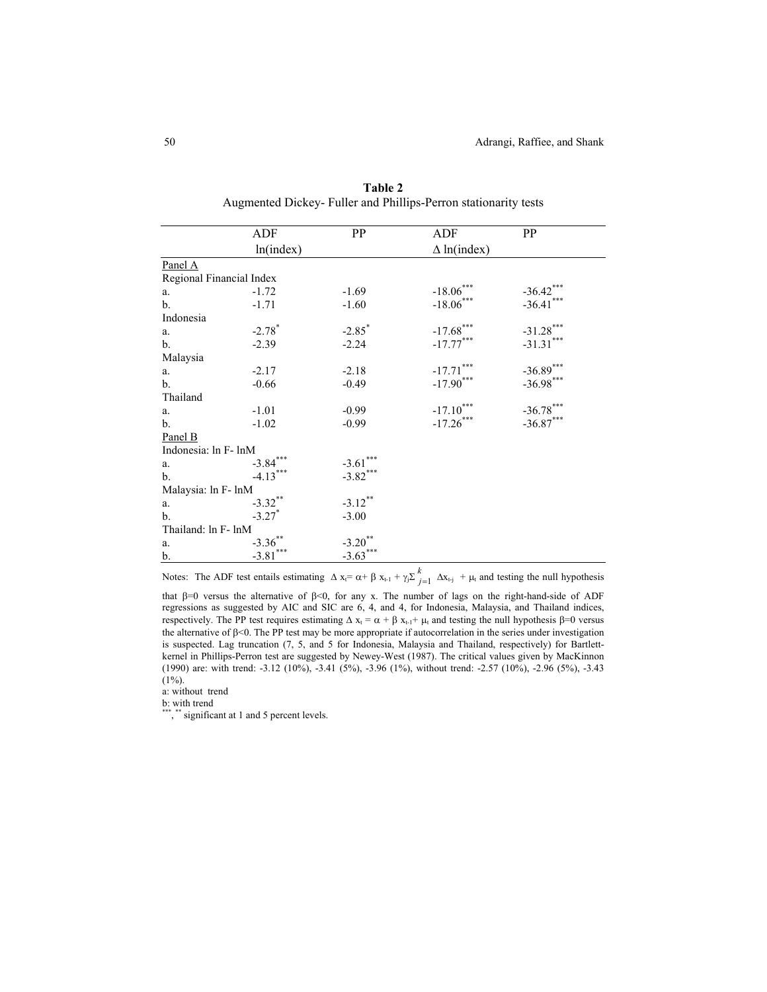|                          | ADF                  | <b>PP</b>            | ADF                     | <b>PP</b>   |
|--------------------------|----------------------|----------------------|-------------------------|-------------|
|                          | ln(index)            |                      | $\Delta$ ln(index)      |             |
| Panel A                  |                      |                      |                         |             |
| Regional Financial Index |                      |                      |                         |             |
| a.                       | $-1.72$              | $-1.69$              | $-18.06***$             | $-36.42***$ |
| b.                       | $-1.71$              | $-1.60$              | $-18.06***$             | $-36.41***$ |
| Indonesia                |                      |                      |                         |             |
| a.                       | $-2.78$ <sup>*</sup> | $-2.85$ <sup>*</sup> | $-17.68$ ***            | $-31.28***$ |
| b.                       | $-2.39$              | $-2.24$              | $-17.77***$             | $-31.31***$ |
| Malaysia                 |                      |                      |                         |             |
| a.                       | $-2.17$              | $-2.18$              | $-17.71***$             | $-36.89***$ |
| b.                       | $-0.66$              | $-0.49$              | $-17.90***$             | $-36.98***$ |
| Thailand                 |                      |                      |                         |             |
| a.                       | $-1.01$              | $-0.99$              | $\textbf{-17.10}^{***}$ | $-36.78***$ |
| b.                       | $-1.02$              | $-0.99$              | $-17.26***$             | $-36.87***$ |
| Panel B                  |                      |                      |                         |             |
| Indonesia: ln F- lnM     |                      |                      |                         |             |
| a.                       | $-3.84***$           | $-3.61***$           |                         |             |
| $\mathbf b$ .            | $-4.13***$           | $-3.82***$           |                         |             |
| Malaysia: ln F- lnM      |                      |                      |                         |             |
| a.                       | $-3.32***$           | $-3.12***$           |                         |             |
| b.                       | $-3.27$ <sup>*</sup> | $-3.00$              |                         |             |
| Thailand: ln F- lnM      |                      |                      |                         |             |
| a.                       | $-3.36***$           | $-3.20**$            |                         |             |
| b.                       | $-3.81***$           | $-3.63***$           |                         |             |

**Table 2** Augmented Dickey- Fuller and Phillips-Perron stationarity tests

Notes: The ADF test entails estimating  $\Delta x_i = \alpha + \beta x_{t-1} + \gamma_j \sum_{j=1}^{k} \Delta x_{t-j} + \mu_t$  and testing the null hypothesis

that β=0 versus the alternative of β<0, for any x. The number of lags on the right-hand-side of ADF regressions as suggested by AIC and SIC are 6, 4, and 4, for Indonesia, Malaysia, and Thailand indices, respectively. The PP test requires estimating  $\Delta x_t = \alpha + \beta x_{t-1} + \mu_t$  and testing the null hypothesis  $\beta = 0$  versus the alternative of β<0. The PP test may be more appropriate if autocorrelation in the series under investigation is suspected. Lag truncation (7, 5, and 5 for Indonesia, Malaysia and Thailand, respectively) for Bartlettkernel in Phillips-Perron test are suggested by Newey-West (1987). The critical values given by MacKinnon (1990) are: with trend: -3.12 (10%), -3.41 (5%), -3.96 (1%), without trend: -2.57 (10%), -2.96 (5%), -3.43  $(1\%)$ .

a: without trend

b: with trend

\*\*\*, \*\* significant at 1 and 5 percent levels.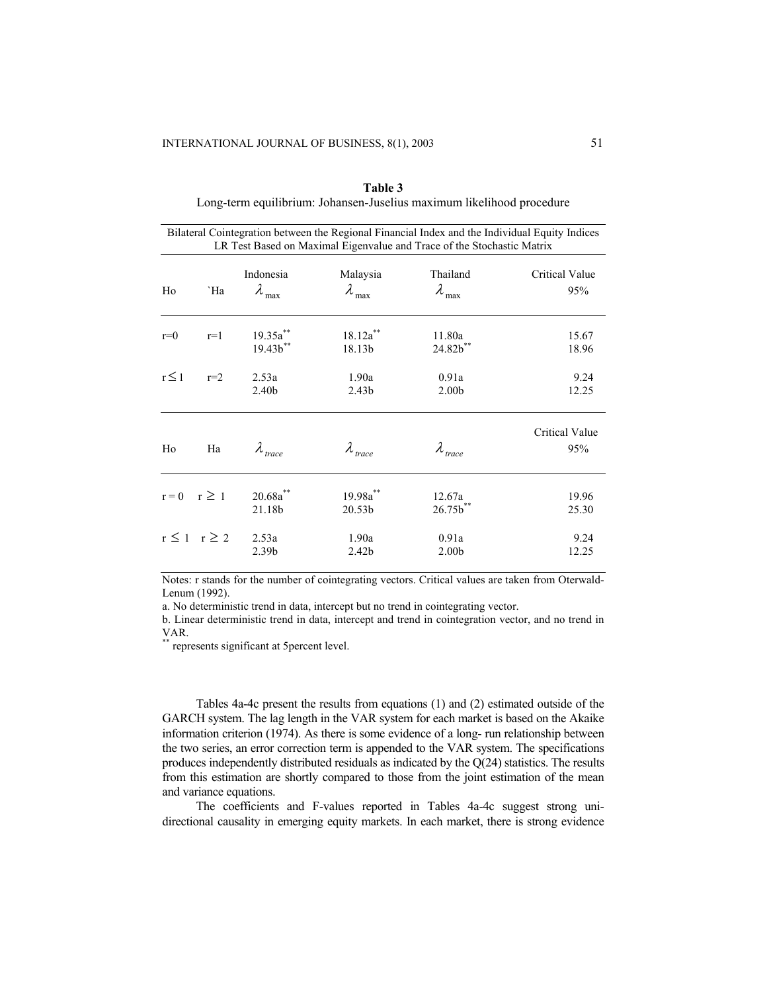|                    |                       |                                     |                                    | LR Test Based on Maximal Eigenvalue and Trace of the Stochastic Matrix | Bilateral Cointegration between the Regional Financial Index and the Individual Equity Indices |
|--------------------|-----------------------|-------------------------------------|------------------------------------|------------------------------------------------------------------------|------------------------------------------------------------------------------------------------|
| Ho                 | `Ha                   | Indonesia<br>$\lambda_{\text{max}}$ | Malaysia<br>$\lambda_{\text{max}}$ | Thailand<br>$\lambda_{\text{max}}$                                     | Critical Value<br>95%                                                                          |
| $r=0$              | $r=1$                 | $19.35a^{**}$<br>$19.43b^{**}$      | $18.12a^{**}$<br>18.13b            | 11.80a<br>24.82b**                                                     | 15.67<br>18.96                                                                                 |
| $r \leq 1$         | $r=2$                 | 2.53a<br>2.40 <sub>b</sub>          | 1.90a<br>2.43 <sub>b</sub>         | 0.91a<br>2.00 <sub>b</sub>                                             | 9.24<br>12.25                                                                                  |
| Ho                 | Ha                    | $\lambda_{\text{trace}}$            | $\lambda_{\text{trace}}$           | $\lambda_{\text{trace}}$                                               | Critical Value<br>95%                                                                          |
| $r = 0$ $r \geq 1$ |                       | $20.68a^{**}$<br>21.18b             | 19.98a**<br>20.53b                 | 12.67a<br>$26.75b^{**}$                                                | 19.96<br>25.30                                                                                 |
|                    | $r \leq 1$ $r \geq 2$ | 2.53a<br>2.39 <sub>b</sub>          | 1.90a<br>2.42 <sub>b</sub>         | 0.91a<br>2.00 <sub>b</sub>                                             | 9.24<br>12.25                                                                                  |

**Table 3** Long-term equilibrium: Johansen-Juselius maximum likelihood procedure

Notes: r stands for the number of cointegrating vectors. Critical values are taken from Oterwald-Lenum (1992).

a. No deterministic trend in data, intercept but no trend in cointegrating vector.

b. Linear deterministic trend in data, intercept and trend in cointegration vector, and no trend in VAR.

represents significant at 5percent level.

Tables 4a-4c present the results from equations (1) and (2) estimated outside of the GARCH system. The lag length in the VAR system for each market is based on the Akaike information criterion (1974). As there is some evidence of a long- run relationship between the two series, an error correction term is appended to the VAR system. The specifications produces independently distributed residuals as indicated by the Q(24) statistics. The results from this estimation are shortly compared to those from the joint estimation of the mean and variance equations.

The coefficients and F-values reported in Tables 4a-4c suggest strong unidirectional causality in emerging equity markets. In each market, there is strong evidence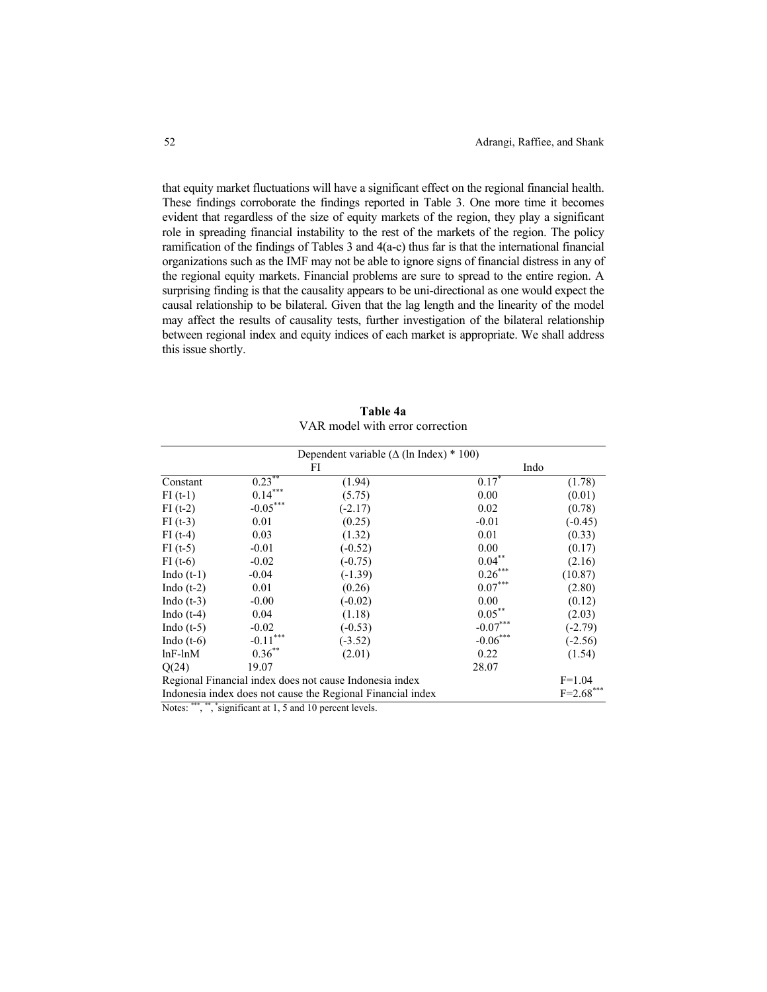that equity market fluctuations will have a significant effect on the regional financial health. These findings corroborate the findings reported in Table 3. One more time it becomes evident that regardless of the size of equity markets of the region, they play a significant role in spreading financial instability to the rest of the markets of the region. The policy ramification of the findings of Tables 3 and 4(a-c) thus far is that the international financial organizations such as the IMF may not be able to ignore signs of financial distress in any of the regional equity markets. Financial problems are sure to spread to the entire region. A surprising finding is that the causality appears to be uni-directional as one would expect the causal relationship to be bilateral. Given that the lag length and the linearity of the model may affect the results of causality tests, further investigation of the bilateral relationship between regional index and equity indices of each market is appropriate. We shall address this issue shortly.

|               |                | Dependent variable ( $\Delta$ (ln Index) * 100)             |                     |               |
|---------------|----------------|-------------------------------------------------------------|---------------------|---------------|
|               |                | FI                                                          | Indo                |               |
| Constant      | $0.23***$      | (1.94)                                                      | $0.17$ <sup>*</sup> | (1.78)        |
| $FI(t-1)$     | $0.14***$      | (5.75)                                                      | 0.00                | (0.01)        |
| $FI(t-2)$     | $-0.05***$     | $(-2.17)$                                                   | 0.02                | (0.78)        |
| $FI(t-3)$     | 0.01           | (0.25)                                                      | $-0.01$             | $(-0.45)$     |
| $FI(t-4)$     | 0.03           | (1.32)                                                      | 0.01                | (0.33)        |
| $FI(t-5)$     | $-0.01$        | $(-0.52)$                                                   | 0.00                | (0.17)        |
| $FI(t-6)$     | $-0.02$        | $(-0.75)$                                                   | $0.04***$           | (2.16)        |
| Indo $(t-1)$  | $-0.04$        | $(-1.39)$                                                   | $0.26***$           | (10.87)       |
| Indo $(t-2)$  | 0.01           | (0.26)                                                      | $0.07***$           | (2.80)        |
| Indo $(t-3)$  | $-0.00$        | $(-0.02)$                                                   | 0.00                | (0.12)        |
| Indo $(t-4)$  | 0.04           | (1.18)                                                      | $0.05***$           | (2.03)        |
| Indo $(t-5)$  | $-0.02$        | $(-0.53)$                                                   | $-0.07***$          | $(-2.79)$     |
| Indo $(t-6)$  | ***<br>$-0.11$ | $(-3.52)$                                                   | $-0.06***$          | $(-2.56)$     |
| $lnF$ - $lnM$ | $0.36^{**}$    | (2.01)                                                      | 0.22                | (1.54)        |
| O(24)         | 19.07          |                                                             | 28.07               |               |
|               |                | Regional Financial index does not cause Indonesia index     |                     | $F=1.04$      |
|               |                | Indonesia index does not cause the Regional Financial index |                     | $F = 2.68***$ |

**Table 4a**  VAR model with error correction

Notes: \*\*\*, \*\*, \*significant at 1, 5 and 10 percent levels.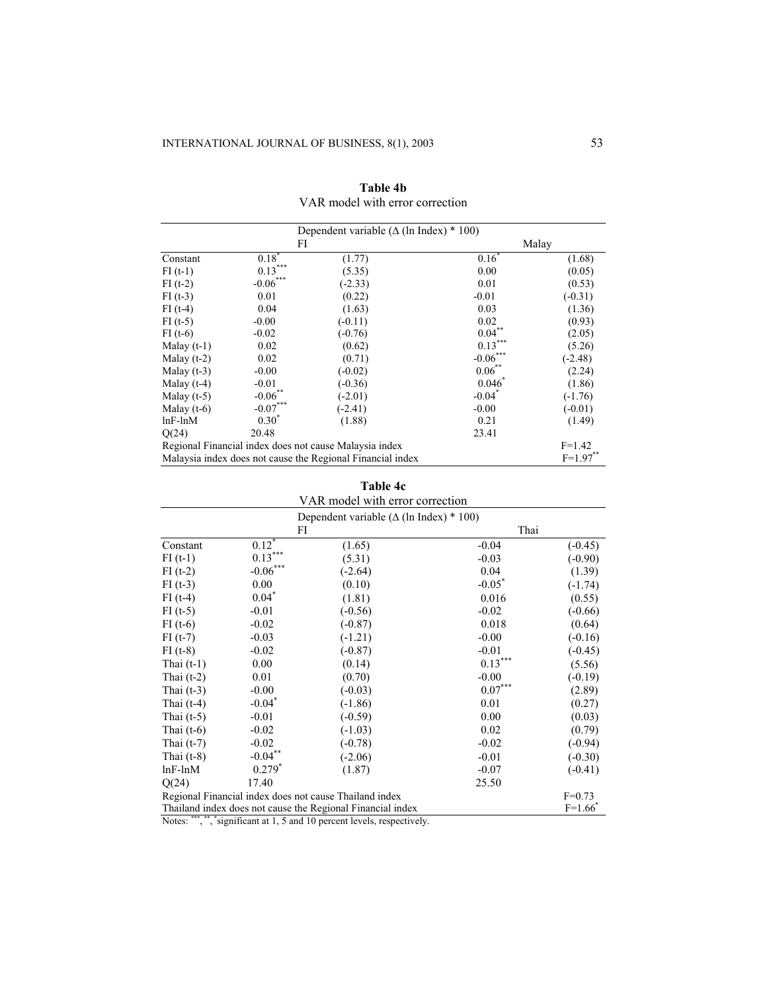|               |                     | Dependent variable ( $\Delta$ (1n Index) * 100)            |                      |             |
|---------------|---------------------|------------------------------------------------------------|----------------------|-------------|
|               | FI                  |                                                            |                      | Malay       |
| Constant      | $0.18$ <sup>*</sup> | (1.77)                                                     | $0.16^*$             | (1.68)      |
| $FI(t-1)$     | $0.13***$           | (5.35)                                                     | 0.00                 | (0.05)      |
| $FI(t-2)$     | $-0.06***$          | $(-2.33)$                                                  | 0.01                 | (0.53)      |
| $FI(1-3)$     | 0.01                | (0.22)                                                     | $-0.01$              | $(-0.31)$   |
| $FI(t-4)$     | 0.04                | (1.63)                                                     | 0.03                 | (1.36)      |
| $FI(t-5)$     | $-0.00$             | $(-0.11)$                                                  | 0.02                 | (0.93)      |
| $FI(t-6)$     | $-0.02$             | $(-0.76)$                                                  | $0.04***$            | (2.05)      |
| Malay $(t-1)$ | 0.02                | (0.62)                                                     | $0.13***$            | (5.26)      |
| Malay $(t-2)$ | 0.02                | (0.71)                                                     | $-0.06***$           | $(-2.48)$   |
| Malay $(t-3)$ | $-0.00$             | $(-0.02)$                                                  | $0.06$ **            | (2.24)      |
| Malay $(t-4)$ | $-0.01$             | $(-0.36)$                                                  | $0.046^{*}$          | (1.86)      |
| Malay $(t-5)$ | $-0.06$ **          | $(-2.01)$                                                  | $-0.04$ <sup>*</sup> | $(-1.76)$   |
| Malay $(t-6)$ | $-0.07***$          | $(-2.41)$                                                  | $-0.00$              | $(-0.01)$   |
| $lnF$ - $lnM$ | $0.30^\circ$        | (1.88)                                                     | 0.21                 | (1.49)      |
| Q(24)         | 20.48               |                                                            | 23.41                |             |
|               |                     | Regional Financial index does not cause Malaysia index     |                      | $F=1.42$    |
|               |                     | Malaysia index does not cause the Regional Financial index |                      | $F=1.97***$ |

**Table 4b**  VAR model with error correction

| Table 4c<br>VAR model with error correction |                                 |                                                            |                       |           |  |  |
|---------------------------------------------|---------------------------------|------------------------------------------------------------|-----------------------|-----------|--|--|
|                                             |                                 | Dependent variable ( $\Delta$ (ln Index) * 100)            |                       |           |  |  |
|                                             | Thai<br>FI                      |                                                            |                       |           |  |  |
| Constant                                    | $0.12^*$                        | (1.65)                                                     | $-0.04$               | $(-0.45)$ |  |  |
| $FI(t-1)$                                   | $0.13***$                       | (5.31)                                                     | $-0.03$               | $(-0.90)$ |  |  |
| $FI(t-2)$                                   | $\textbf{-0.06}^{\ast\ast\ast}$ | $(-2.64)$                                                  | 0.04                  | (1.39)    |  |  |
| $FI(t-3)$                                   | 0.00                            | (0.10)                                                     | $-0.05^*$             | $(-1.74)$ |  |  |
| $FI(t-4)$                                   | $0.04*$                         | (1.81)                                                     | 0.016                 | (0.55)    |  |  |
| $FI(t-5)$                                   | $-0.01$                         | $(-0.56)$                                                  | $-0.02$               | $(-0.66)$ |  |  |
| $FI(t-6)$                                   | $-0.02$                         | $(-0.87)$                                                  | 0.018                 | (0.64)    |  |  |
| $FI(t-7)$                                   | $-0.03$                         | $(-1.21)$                                                  | $-0.00$               | $(-0.16)$ |  |  |
| $FI(t-8)$                                   | $-0.02$                         | $(-0.87)$                                                  | $-0.01$               | $(-0.45)$ |  |  |
| Thai $(t-1)$                                | 0.00                            | (0.14)                                                     | $0.13***$             | (5.56)    |  |  |
| Thai $(t-2)$                                | 0.01                            | (0.70)                                                     | $-0.00$               | $(-0.19)$ |  |  |
| Thai $(t-3)$                                | $-0.00$                         | $(-0.03)$                                                  | $0.07^{\ast\ast\ast}$ | (2.89)    |  |  |
| Thai $(t-4)$                                | $-0.04$ <sup>*</sup>            | $(-1.86)$                                                  | 0.01                  | (0.27)    |  |  |
| Thai $(t-5)$                                | $-0.01$                         | $(-0.59)$                                                  | 0.00                  | (0.03)    |  |  |
| Thai $(t-6)$                                | $-0.02$                         | $(-1.03)$                                                  | 0.02                  | (0.79)    |  |  |
| Thai $(t-7)$                                | $-0.02$                         | $(-0.78)$                                                  | $-0.02$               | $(-0.94)$ |  |  |
| Thai $(t-8)$                                | $-0.04***$                      | $(-2.06)$                                                  | $-0.01$               | $(-0.30)$ |  |  |
| $lnF$ - $lnM$                               | $0.279^{*}$                     | (1.87)                                                     | $-0.07$               | $(-0.41)$ |  |  |
| Q(24)                                       | 17.40                           |                                                            | 25.50                 |           |  |  |
|                                             |                                 | Regional Financial index does not cause Thailand index     |                       | $F=0.73$  |  |  |
|                                             |                                 | Thailand index does not cause the Regional Financial index |                       | $F=1.66$  |  |  |

Notes: \*\*\*, \*\*, \*significant at 1, 5 and 10 percent levels, respectively.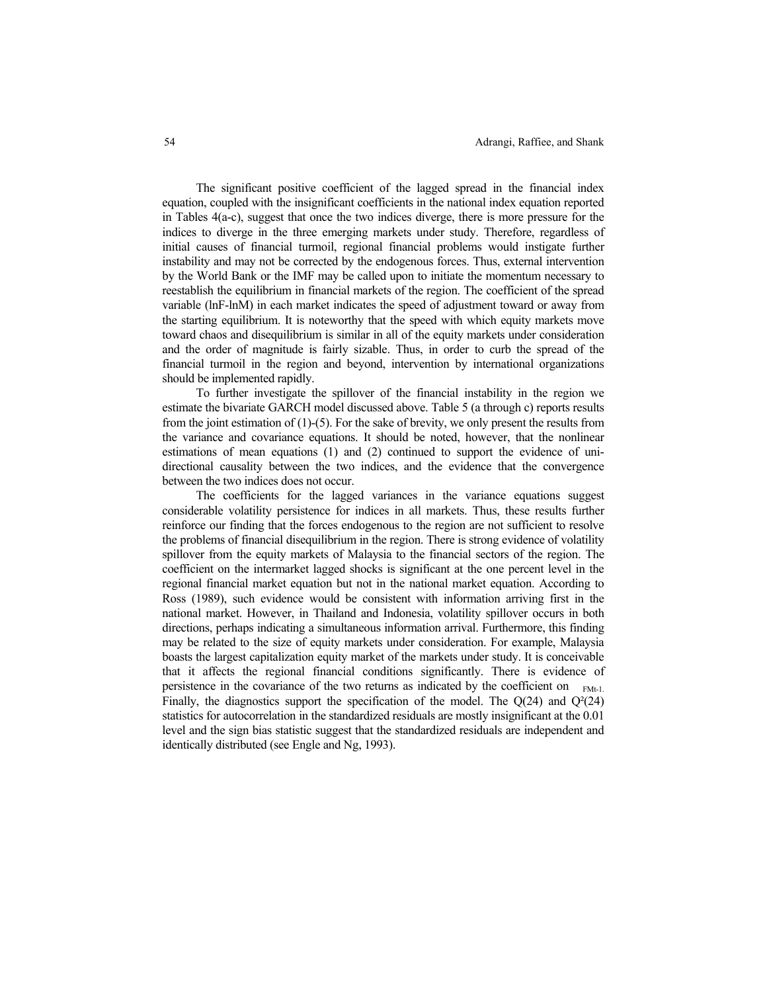The significant positive coefficient of the lagged spread in the financial index equation, coupled with the insignificant coefficients in the national index equation reported in Tables 4(a-c), suggest that once the two indices diverge, there is more pressure for the indices to diverge in the three emerging markets under study. Therefore, regardless of initial causes of financial turmoil, regional financial problems would instigate further instability and may not be corrected by the endogenous forces. Thus, external intervention by the World Bank or the IMF may be called upon to initiate the momentum necessary to reestablish the equilibrium in financial markets of the region. The coefficient of the spread variable (lnF-lnM) in each market indicates the speed of adjustment toward or away from the starting equilibrium. It is noteworthy that the speed with which equity markets move toward chaos and disequilibrium is similar in all of the equity markets under consideration and the order of magnitude is fairly sizable. Thus, in order to curb the spread of the financial turmoil in the region and beyond, intervention by international organizations should be implemented rapidly.

To further investigate the spillover of the financial instability in the region we estimate the bivariate GARCH model discussed above. Table 5 (a through c) reports results from the joint estimation of  $(1)$ -(5). For the sake of brevity, we only present the results from the variance and covariance equations. It should be noted, however, that the nonlinear estimations of mean equations (1) and (2) continued to support the evidence of unidirectional causality between the two indices, and the evidence that the convergence between the two indices does not occur.

The coefficients for the lagged variances in the variance equations suggest considerable volatility persistence for indices in all markets. Thus, these results further reinforce our finding that the forces endogenous to the region are not sufficient to resolve the problems of financial disequilibrium in the region. There is strong evidence of volatility spillover from the equity markets of Malaysia to the financial sectors of the region. The coefficient on the intermarket lagged shocks is significant at the one percent level in the regional financial market equation but not in the national market equation. According to Ross (1989), such evidence would be consistent with information arriving first in the national market. However, in Thailand and Indonesia, volatility spillover occurs in both directions, perhaps indicating a simultaneous information arrival. Furthermore, this finding may be related to the size of equity markets under consideration. For example, Malaysia boasts the largest capitalization equity market of the markets under study. It is conceivable that it affects the regional financial conditions significantly. There is evidence of persistence in the covariance of the two returns as indicated by the coefficient on  $F_{Mt-1}$ . Finally, the diagnostics support the specification of the model. The  $Q(24)$  and  $Q^{2}(24)$ statistics for autocorrelation in the standardized residuals are mostly insignificant at the 0.01 level and the sign bias statistic suggest that the standardized residuals are independent and identically distributed (see Engle and Ng, 1993).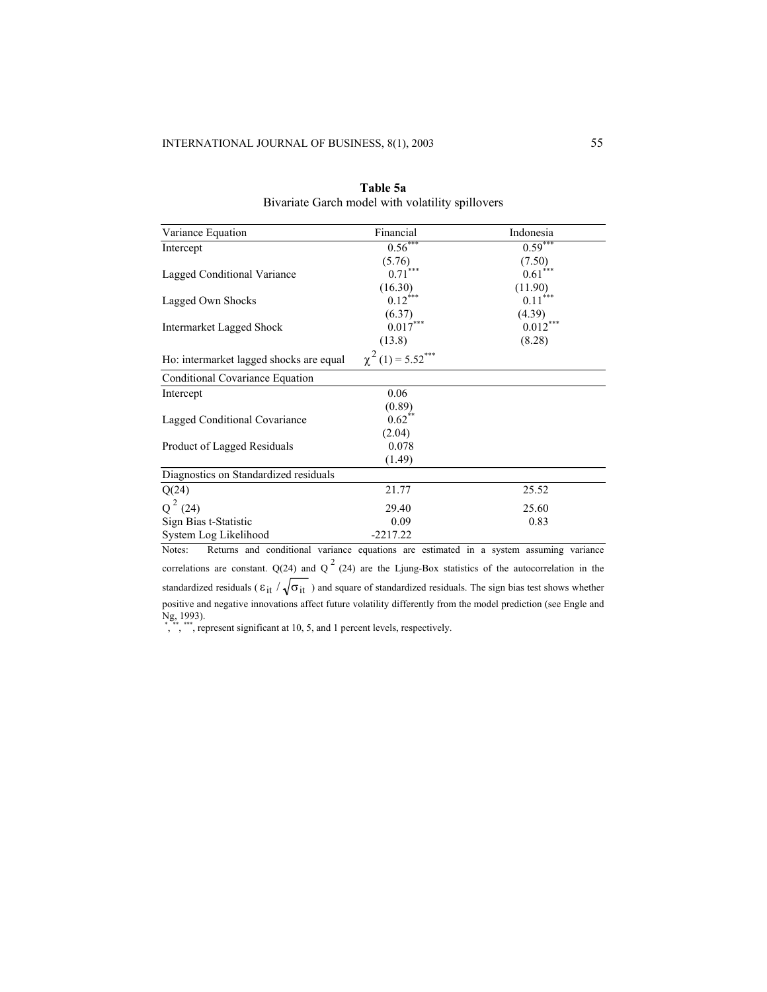| Variance Equation                       | Financial                          | Indonesia             |
|-----------------------------------------|------------------------------------|-----------------------|
| Intercept                               | $0.56***$                          | $0.59***$             |
|                                         | (5.76)                             | (7.50)                |
| Lagged Conditional Variance             | $0.71***$                          | $0.61$ <sup>***</sup> |
|                                         | (16.30)                            | (11.90)               |
| Lagged Own Shocks                       | $0.12$ <sup>***</sup>              | $0.11$ <sup>***</sup> |
|                                         | (6.37)                             | (4.39)                |
| Intermarket Lagged Shock                | $0.017***$                         | $0.012***$            |
|                                         | (13.8)                             | (8.28)                |
| Ho: intermarket lagged shocks are equal | $\chi^2$ (1) = 5.52 <sup>***</sup> |                       |
| Conditional Covariance Equation         |                                    |                       |
| Intercept                               | 0.06                               |                       |
|                                         | (0.89)                             |                       |
| Lagged Conditional Covariance           | $0.62$ **                          |                       |
|                                         | (2.04)                             |                       |
| Product of Lagged Residuals             | 0.078                              |                       |
|                                         | (1.49)                             |                       |
| Diagnostics on Standardized residuals   |                                    |                       |
| Q(24)                                   | 21.77                              | 25.52                 |
| $Q^2$ (24)                              | 29.40                              | 25.60                 |
| Sign Bias t-Statistic                   | 0.09                               | 0.83                  |
| System Log Likelihood                   | $-2217.22$                         |                       |

| Table 5a                                         |
|--------------------------------------------------|
| Bivariate Garch model with volatility spillovers |

Notes: Returns and conditional variance equations are estimated in a system assuming variance correlations are constant. Q(24) and Q<sup>2</sup> (24) are the Ljung-Box statistics of the autocorrelation in the standardized residuals ( $\varepsilon_{it}$  /  $\sqrt{\sigma_{it}}$  ) and square of standardized residuals. The sign bias test shows whether positive and negative innovations affect future volatility differently from the model prediction (see Engle and Ng, 1993).<br>
\*, \*\*, \*\*\*\*, represent significant at 10, 5, and 1 percent levels, respectively.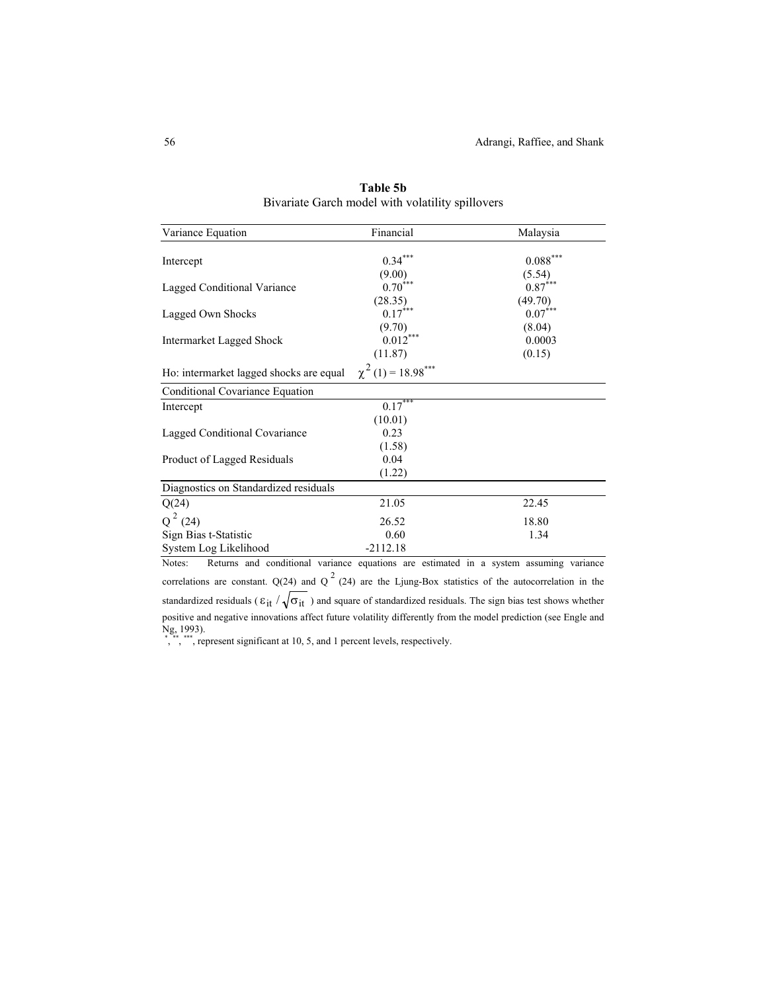| Variance Equation                       | Financial                           | Malaysia   |
|-----------------------------------------|-------------------------------------|------------|
|                                         | $0.34***$                           | $0.088***$ |
| Intercept                               | (9.00)                              | (5.54)     |
| Lagged Conditional Variance             | $0.70***$                           | $0.87***$  |
|                                         | (28.35)                             | (49.70)    |
| Lagged Own Shocks                       | $0.17$ <sup>***</sup>               | $0.07***$  |
|                                         | (9.70)                              | (8.04)     |
| <b>Intermarket Lagged Shock</b>         | 0.012                               | 0.0003     |
|                                         | (11.87)                             | (0.15)     |
| Ho: intermarket lagged shocks are equal | $\chi^2$ (1) = 18.98 <sup>***</sup> |            |
| Conditional Covariance Equation         |                                     |            |
| Intercept                               | $0.17***$                           |            |
|                                         | (10.01)                             |            |
| Lagged Conditional Covariance           | 0.23                                |            |
|                                         | (1.58)                              |            |
| Product of Lagged Residuals             | 0.04                                |            |
|                                         | (1.22)                              |            |
| Diagnostics on Standardized residuals   |                                     |            |
| Q(24)                                   | 21.05                               | 22.45      |
| $Q^2$ (24)                              | 26.52                               | 18.80      |
| Sign Bias t-Statistic                   | 0.60                                | 1.34       |
| System Log Likelihood                   | $-2112.18$                          |            |

**Table 5b** Bivariate Garch model with volatility spillovers

Notes: Returns and conditional variance equations are estimated in a system assuming variance correlations are constant. Q(24) and Q<sup>2</sup> (24) are the Ljung-Box statistics of the autocorrelation in the standardized residuals ( $\epsilon_{it}$  /  $\sqrt{\sigma_{it}}$  ) and square of standardized residuals. The sign bias test shows whether positive and negative innovations affect future volatility differently from the model prediction (see Engle and Ng, 1993).<br>
\*, \*\*, \*\*\*\*, represent significant at 10, 5, and 1 percent levels, respectively.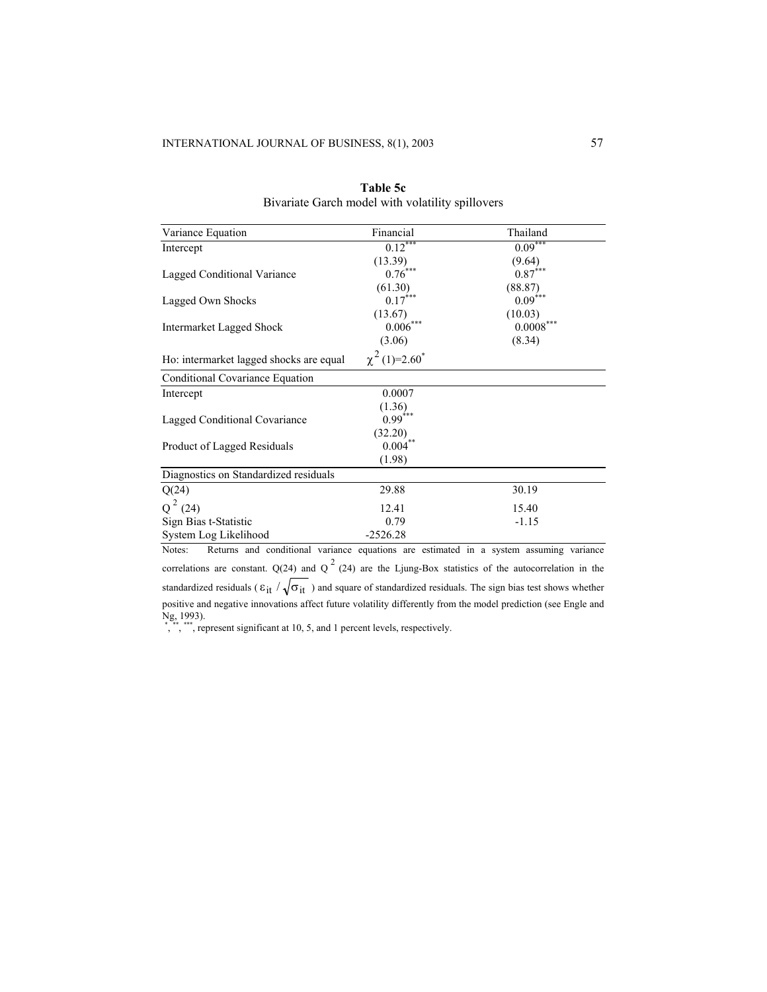| Variance Equation                       | Financial                      | Thailand    |
|-----------------------------------------|--------------------------------|-------------|
| Intercept                               | $0.12***$                      | $0.09***$   |
|                                         | (13.39)                        | (9.64)      |
| Lagged Conditional Variance             | $0.76***$                      | $0.87***$   |
|                                         | (61.30)                        | (88.87)     |
| Lagged Own Shocks                       | $0.17***$                      | $0.09***$   |
|                                         | (13.67)                        | (10.03)     |
| <b>Intermarket Lagged Shock</b>         | 0.006                          | $0.0008***$ |
|                                         | (3.06)                         | (8.34)      |
| Ho: intermarket lagged shocks are equal | $\chi^2$ (1)=2.60 <sup>*</sup> |             |
| Conditional Covariance Equation         |                                |             |
| Intercept                               | 0.0007                         |             |
|                                         | (1.36)                         |             |
| Lagged Conditional Covariance           | $0.99***$                      |             |
|                                         | (32.20)                        |             |
| Product of Lagged Residuals             | $0.004^{**}$                   |             |
|                                         | (1.98)                         |             |
| Diagnostics on Standardized residuals   |                                |             |
| Q(24)                                   | 29.88                          | 30.19       |
| $Q^2$ (24)                              | 12.41                          | 15.40       |
| Sign Bias t-Statistic                   | 0.79                           | $-1.15$     |
| System Log Likelihood                   | $-2526.28$                     |             |

| Table 5c                                         |
|--------------------------------------------------|
| Bivariate Garch model with volatility spillovers |

Notes: Returns and conditional variance equations are estimated in a system assuming variance correlations are constant. Q(24) and Q<sup>2</sup> (24) are the Ljung-Box statistics of the autocorrelation in the standardized residuals ( $\varepsilon_{it}$  /  $\sqrt{\sigma_{it}}$  ) and square of standardized residuals. The sign bias test shows whether positive and negative innovations affect future volatility differently from the model prediction (see Engle and Ng, 1993).<br>
\*, \*\*, \*\*\*\*, represent significant at 10, 5, and 1 percent levels, respectively.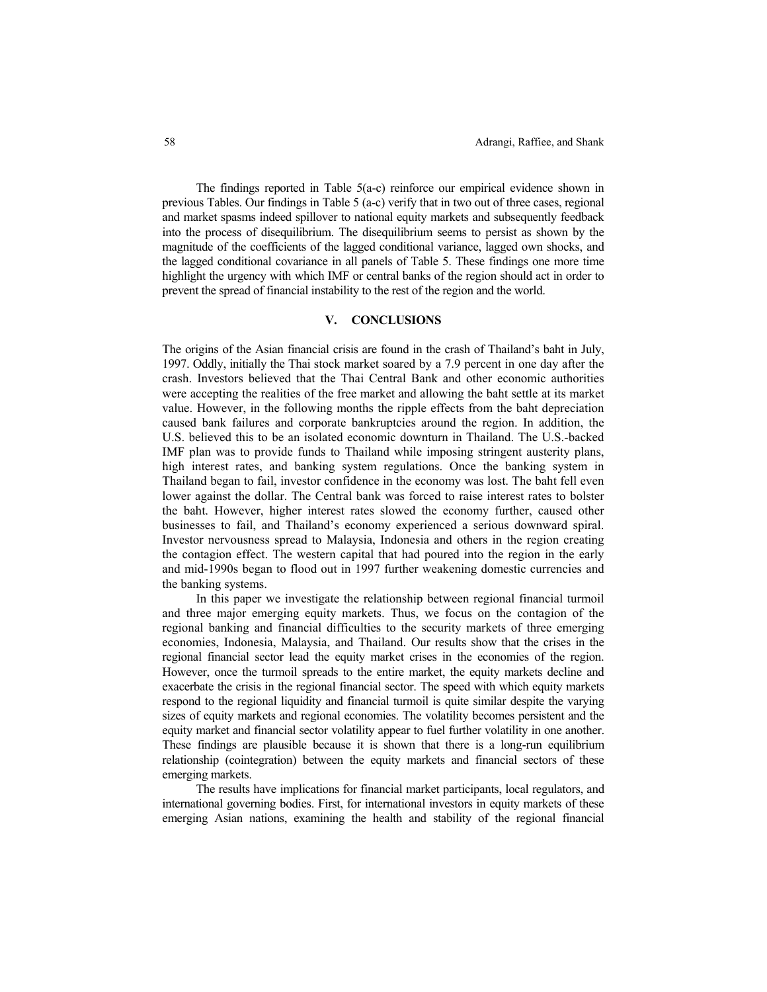The findings reported in Table 5(a-c) reinforce our empirical evidence shown in previous Tables. Our findings in Table 5 (a-c) verify that in two out of three cases, regional and market spasms indeed spillover to national equity markets and subsequently feedback into the process of disequilibrium. The disequilibrium seems to persist as shown by the magnitude of the coefficients of the lagged conditional variance, lagged own shocks, and the lagged conditional covariance in all panels of Table 5. These findings one more time highlight the urgency with which IMF or central banks of the region should act in order to prevent the spread of financial instability to the rest of the region and the world.

## **V. CONCLUSIONS**

The origins of the Asian financial crisis are found in the crash of Thailand's baht in July, 1997. Oddly, initially the Thai stock market soared by a 7.9 percent in one day after the crash. Investors believed that the Thai Central Bank and other economic authorities were accepting the realities of the free market and allowing the baht settle at its market value. However, in the following months the ripple effects from the baht depreciation caused bank failures and corporate bankruptcies around the region. In addition, the U.S. believed this to be an isolated economic downturn in Thailand. The U.S.-backed IMF plan was to provide funds to Thailand while imposing stringent austerity plans, high interest rates, and banking system regulations. Once the banking system in Thailand began to fail, investor confidence in the economy was lost. The baht fell even lower against the dollar. The Central bank was forced to raise interest rates to bolster the baht. However, higher interest rates slowed the economy further, caused other businesses to fail, and Thailand's economy experienced a serious downward spiral. Investor nervousness spread to Malaysia, Indonesia and others in the region creating the contagion effect. The western capital that had poured into the region in the early and mid-1990s began to flood out in 1997 further weakening domestic currencies and the banking systems.

In this paper we investigate the relationship between regional financial turmoil and three major emerging equity markets. Thus, we focus on the contagion of the regional banking and financial difficulties to the security markets of three emerging economies, Indonesia, Malaysia, and Thailand. Our results show that the crises in the regional financial sector lead the equity market crises in the economies of the region. However, once the turmoil spreads to the entire market, the equity markets decline and exacerbate the crisis in the regional financial sector. The speed with which equity markets respond to the regional liquidity and financial turmoil is quite similar despite the varying sizes of equity markets and regional economies. The volatility becomes persistent and the equity market and financial sector volatility appear to fuel further volatility in one another. These findings are plausible because it is shown that there is a long-run equilibrium relationship (cointegration) between the equity markets and financial sectors of these emerging markets.

The results have implications for financial market participants, local regulators, and international governing bodies. First, for international investors in equity markets of these emerging Asian nations, examining the health and stability of the regional financial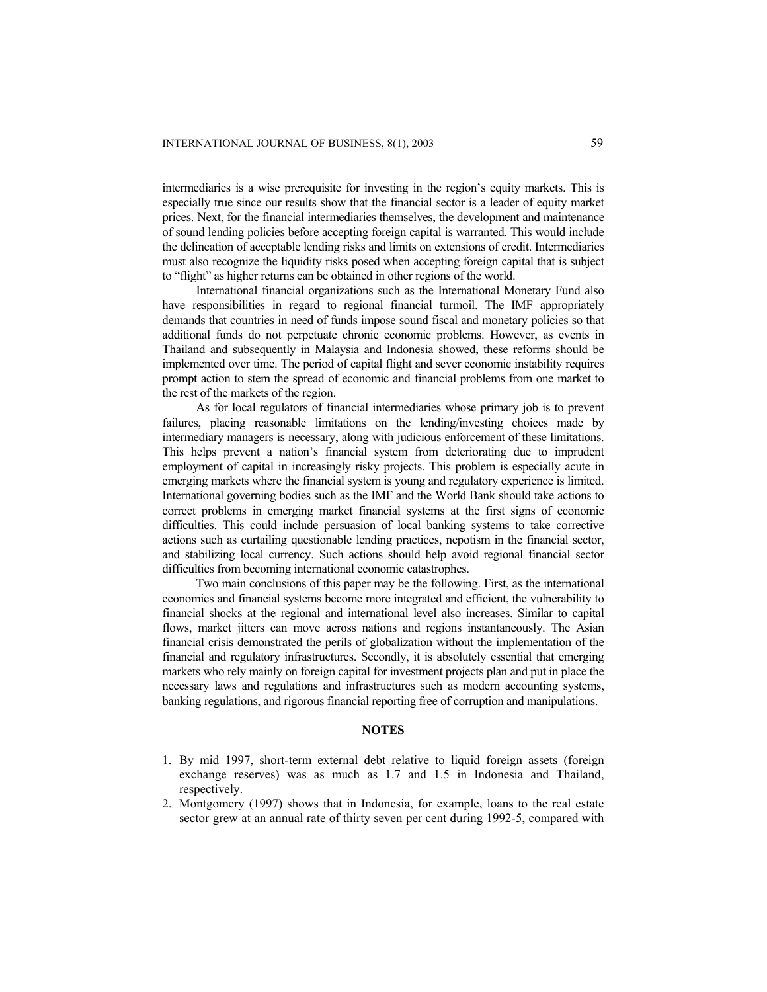intermediaries is a wise prerequisite for investing in the region's equity markets. This is especially true since our results show that the financial sector is a leader of equity market prices. Next, for the financial intermediaries themselves, the development and maintenance of sound lending policies before accepting foreign capital is warranted. This would include the delineation of acceptable lending risks and limits on extensions of credit. Intermediaries must also recognize the liquidity risks posed when accepting foreign capital that is subject to "flight" as higher returns can be obtained in other regions of the world.

International financial organizations such as the International Monetary Fund also have responsibilities in regard to regional financial turmoil. The IMF appropriately demands that countries in need of funds impose sound fiscal and monetary policies so that additional funds do not perpetuate chronic economic problems. However, as events in Thailand and subsequently in Malaysia and Indonesia showed, these reforms should be implemented over time. The period of capital flight and sever economic instability requires prompt action to stem the spread of economic and financial problems from one market to the rest of the markets of the region.

As for local regulators of financial intermediaries whose primary job is to prevent failures, placing reasonable limitations on the lending/investing choices made by intermediary managers is necessary, along with judicious enforcement of these limitations. This helps prevent a nation's financial system from deteriorating due to imprudent employment of capital in increasingly risky projects. This problem is especially acute in emerging markets where the financial system is young and regulatory experience is limited. International governing bodies such as the IMF and the World Bank should take actions to correct problems in emerging market financial systems at the first signs of economic difficulties. This could include persuasion of local banking systems to take corrective actions such as curtailing questionable lending practices, nepotism in the financial sector, and stabilizing local currency. Such actions should help avoid regional financial sector difficulties from becoming international economic catastrophes.

Two main conclusions of this paper may be the following. First, as the international economies and financial systems become more integrated and efficient, the vulnerability to financial shocks at the regional and international level also increases. Similar to capital flows, market jitters can move across nations and regions instantaneously. The Asian financial crisis demonstrated the perils of globalization without the implementation of the financial and regulatory infrastructures. Secondly, it is absolutely essential that emerging markets who rely mainly on foreign capital for investment projects plan and put in place the necessary laws and regulations and infrastructures such as modern accounting systems, banking regulations, and rigorous financial reporting free of corruption and manipulations.

# **NOTES**

- 1. By mid 1997, short-term external debt relative to liquid foreign assets (foreign exchange reserves) was as much as 1.7 and 1.5 in Indonesia and Thailand, respectively.
- 2. Montgomery (1997) shows that in Indonesia, for example, loans to the real estate sector grew at an annual rate of thirty seven per cent during 1992-5, compared with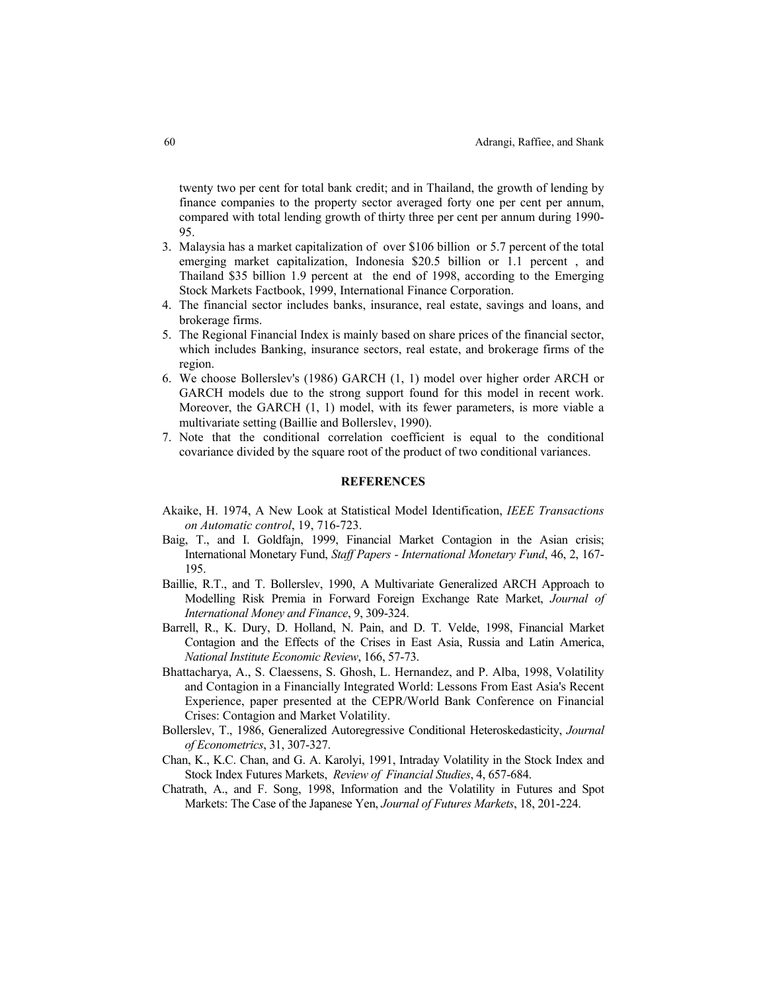twenty two per cent for total bank credit; and in Thailand, the growth of lending by finance companies to the property sector averaged forty one per cent per annum, compared with total lending growth of thirty three per cent per annum during 1990- 95.

- 3. Malaysia has a market capitalization of over \$106 billion or 5.7 percent of the total emerging market capitalization, Indonesia \$20.5 billion or 1.1 percent , and Thailand \$35 billion 1.9 percent at the end of 1998, according to the Emerging Stock Markets Factbook, 1999, International Finance Corporation.
- 4. The financial sector includes banks, insurance, real estate, savings and loans, and brokerage firms.
- 5. The Regional Financial Index is mainly based on share prices of the financial sector, which includes Banking, insurance sectors, real estate, and brokerage firms of the region.
- 6. We choose Bollerslev's (1986) GARCH (1, 1) model over higher order ARCH or GARCH models due to the strong support found for this model in recent work. Moreover, the GARCH (1, 1) model, with its fewer parameters, is more viable a multivariate setting (Baillie and Bollerslev, 1990).
- 7. Note that the conditional correlation coefficient is equal to the conditional covariance divided by the square root of the product of two conditional variances.

#### **REFERENCES**

- Akaike, H. 1974, A New Look at Statistical Model Identification, *IEEE Transactions on Automatic control*, 19, 716-723.
- Baig, T., and I. Goldfajn, 1999, Financial Market Contagion in the Asian crisis; International Monetary Fund, *Staff Papers - International Monetary Fund*, 46, 2, 167- 195.
- Baillie, R.T., and T. Bollerslev, 1990, A Multivariate Generalized ARCH Approach to Modelling Risk Premia in Forward Foreign Exchange Rate Market, *Journal of International Money and Finance*, 9, 309-324.
- Barrell, R., K. Dury, D. Holland, N. Pain, and D. T. Velde, 1998, Financial Market Contagion and the Effects of the Crises in East Asia, Russia and Latin America, *National Institute Economic Review*, 166, 57-73.
- Bhattacharya, A., S. Claessens, S. Ghosh, L. Hernandez, and P. Alba, 1998, Volatility and Contagion in a Financially Integrated World: Lessons From East Asia's Recent Experience, paper presented at the CEPR/World Bank Conference on Financial Crises: Contagion and Market Volatility.
- Bollerslev, T., 1986, Generalized Autoregressive Conditional Heteroskedasticity, *Journal of Econometrics*, 31, 307-327.
- Chan, K., K.C. Chan, and G. A. Karolyi, 1991, Intraday Volatility in the Stock Index and Stock Index Futures Markets, *Review of Financial Studies*, 4, 657-684.
- Chatrath, A., and F. Song, 1998, Information and the Volatility in Futures and Spot Markets: The Case of the Japanese Yen, *Journal of Futures Markets*, 18, 201-224.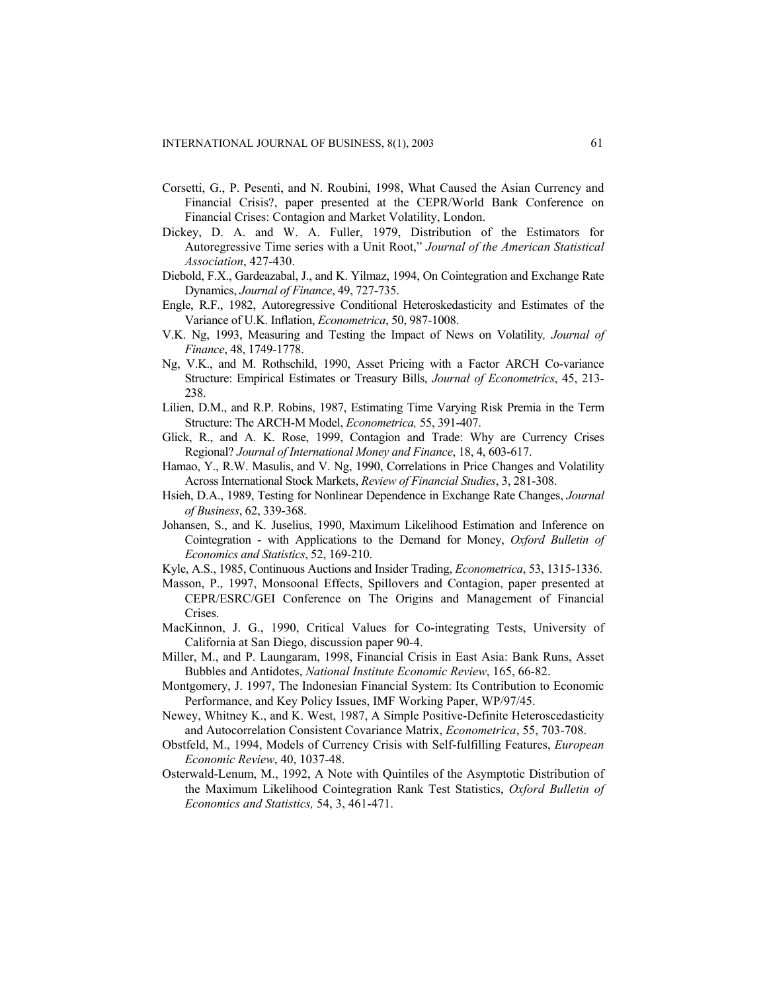- Corsetti, G., P. Pesenti, and N. Roubini, 1998, What Caused the Asian Currency and Financial Crisis?, paper presented at the CEPR/World Bank Conference on Financial Crises: Contagion and Market Volatility, London.
- Dickey, D. A. and W. A. Fuller, 1979, Distribution of the Estimators for Autoregressive Time series with a Unit Root," *Journal of the American Statistical Association*, 427-430.
- Diebold, F.X., Gardeazabal, J., and K. Yilmaz, 1994, On Cointegration and Exchange Rate Dynamics, *Journal of Finance*, 49, 727-735.
- Engle, R.F., 1982, Autoregressive Conditional Heteroskedasticity and Estimates of the Variance of U.K. Inflation, *Econometrica*, 50, 987-1008.
- V.K. Ng, 1993, Measuring and Testing the Impact of News on Volatility*, Journal of Finance*, 48, 1749-1778.
- Ng, V.K., and M. Rothschild, 1990, Asset Pricing with a Factor ARCH Co-variance Structure: Empirical Estimates or Treasury Bills, *Journal of Econometrics*, 45, 213- 238.
- Lilien, D.M., and R.P. Robins, 1987, Estimating Time Varying Risk Premia in the Term Structure: The ARCH-M Model, *Econometrica,* 55, 391-407.
- Glick, R., and A. K. Rose, 1999, Contagion and Trade: Why are Currency Crises Regional? *Journal of International Money and Finance*, 18, 4, 603-617.
- Hamao, Y., R.W. Masulis, and V. Ng, 1990, Correlations in Price Changes and Volatility Across International Stock Markets, *Review of Financial Studies*, 3, 281-308.
- Hsieh, D.A., 1989, Testing for Nonlinear Dependence in Exchange Rate Changes, *Journal of Business*, 62, 339-368.
- Johansen, S., and K. Juselius, 1990, Maximum Likelihood Estimation and Inference on Cointegration - with Applications to the Demand for Money, *Oxford Bulletin of Economics and Statistics*, 52, 169-210.
- Kyle, A.S., 1985, Continuous Auctions and Insider Trading, *Econometrica*, 53, 1315-1336.
- Masson, P., 1997, Monsoonal Effects, Spillovers and Contagion, paper presented at CEPR/ESRC/GEI Conference on The Origins and Management of Financial Crises.
- MacKinnon, J. G., 1990, Critical Values for Co-integrating Tests, University of California at San Diego, discussion paper 90-4.
- Miller, M., and P. Laungaram, 1998, Financial Crisis in East Asia: Bank Runs, Asset Bubbles and Antidotes, *National Institute Economic Review*, 165, 66-82.
- Montgomery, J. 1997, The Indonesian Financial System: Its Contribution to Economic Performance, and Key Policy Issues, IMF Working Paper, WP/97/45.
- Newey, Whitney K., and K. West, 1987, A Simple Positive-Definite Heteroscedasticity and Autocorrelation Consistent Covariance Matrix, *Econometrica*, 55, 703-708.
- Obstfeld, M., 1994, Models of Currency Crisis with Self-fulfilling Features, *European Economic Review*, 40, 1037-48.
- Osterwald-Lenum, M., 1992, A Note with Quintiles of the Asymptotic Distribution of the Maximum Likelihood Cointegration Rank Test Statistics, *Oxford Bulletin of Economics and Statistics,* 54, 3, 461-471.